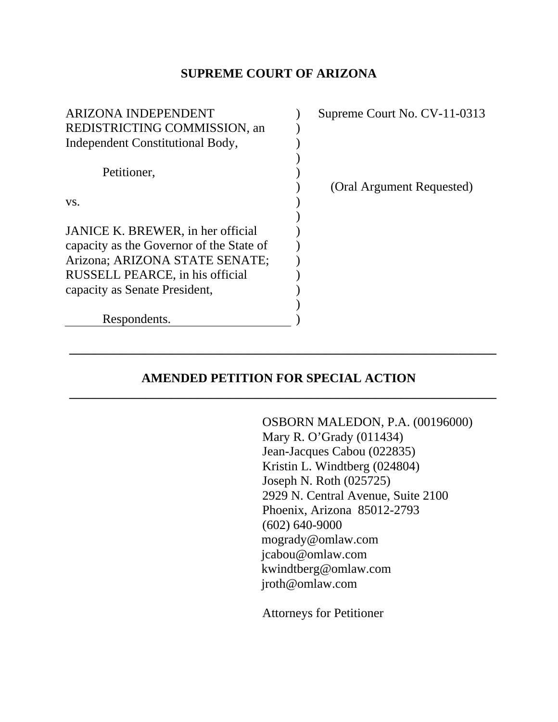#### **SUPREME COURT OF ARIZONA**

| <b>ARIZONA INDEPENDENT</b>               | Supreme Court No. CV-11-0313 |
|------------------------------------------|------------------------------|
| REDISTRICTING COMMISSION, an             |                              |
| Independent Constitutional Body,         |                              |
|                                          |                              |
| Petitioner,                              |                              |
|                                          | (Oral Argument Requested)    |
| VS.                                      |                              |
|                                          |                              |
| JANICE K. BREWER, in her official        |                              |
| capacity as the Governor of the State of |                              |
| Arizona; ARIZONA STATE SENATE;           |                              |
| RUSSELL PEARCE, in his official          |                              |
| capacity as Senate President,            |                              |
|                                          |                              |
| Respondents.                             |                              |

# **AMENDED PETITION FOR SPECIAL ACTION**

**\_\_\_\_\_\_\_\_\_\_\_\_\_\_\_\_\_\_\_\_\_\_\_\_\_\_\_\_\_\_\_\_\_\_\_\_\_\_\_\_\_\_\_\_\_\_\_\_\_\_\_\_\_\_\_\_\_\_\_\_\_\_\_\_\_\_\_** 

**\_\_\_\_\_\_\_\_\_\_\_\_\_\_\_\_\_\_\_\_\_\_\_\_\_\_\_\_\_\_\_\_\_\_\_\_\_\_\_\_\_\_\_\_\_\_\_\_\_\_\_\_\_\_\_\_\_\_\_\_\_\_\_\_\_\_\_** 

OSBORN MALEDON, P.A. (00196000) Mary R. O'Grady (011434) Jean-Jacques Cabou (022835) Kristin L. Windtberg (024804) Joseph N. Roth (025725) 2929 N. Central Avenue, Suite 2100 Phoenix, Arizona 85012-2793 (602) 640-9000 mogrady@omlaw.com jcabou@omlaw.com kwindtberg@omlaw.com jroth@omlaw.com

Attorneys for Petitioner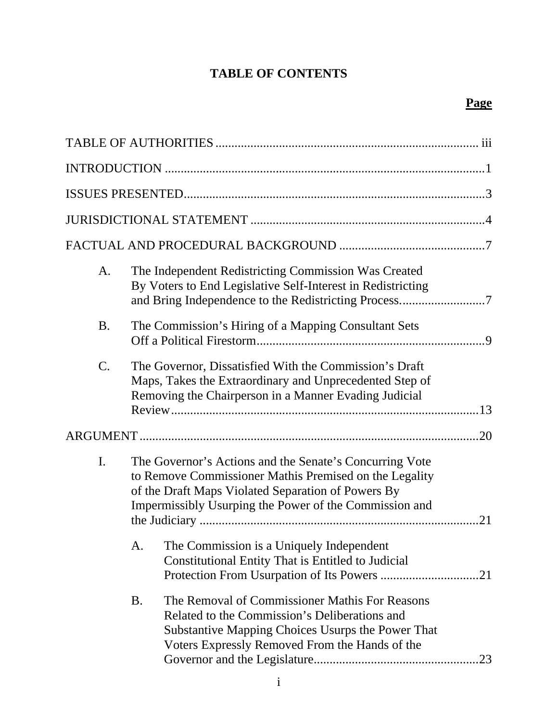# **TABLE OF CONTENTS**

| A.              |                                                                                                                                                                                                                                         | The Independent Redistricting Commission Was Created<br>By Voters to End Legislative Self-Interest in Redistricting                                                                                    |  |
|-----------------|-----------------------------------------------------------------------------------------------------------------------------------------------------------------------------------------------------------------------------------------|--------------------------------------------------------------------------------------------------------------------------------------------------------------------------------------------------------|--|
| <b>B.</b>       |                                                                                                                                                                                                                                         | The Commission's Hiring of a Mapping Consultant Sets                                                                                                                                                   |  |
| $\mathcal{C}$ . |                                                                                                                                                                                                                                         | The Governor, Dissatisfied With the Commission's Draft<br>Maps, Takes the Extraordinary and Unprecedented Step of<br>Removing the Chairperson in a Manner Evading Judicial                             |  |
|                 |                                                                                                                                                                                                                                         |                                                                                                                                                                                                        |  |
| I.              | The Governor's Actions and the Senate's Concurring Vote<br>to Remove Commissioner Mathis Premised on the Legality<br>of the Draft Maps Violated Separation of Powers By<br>Impermissibly Usurping the Power of the Commission and<br>21 |                                                                                                                                                                                                        |  |
|                 | A.                                                                                                                                                                                                                                      | The Commission is a Uniquely Independent<br>Constitutional Entity That is Entitled to Judicial                                                                                                         |  |
|                 | <b>B.</b>                                                                                                                                                                                                                               | The Removal of Commissioner Mathis For Reasons<br>Related to the Commission's Deliberations and<br>Substantive Mapping Choices Usurps the Power That<br>Voters Expressly Removed From the Hands of the |  |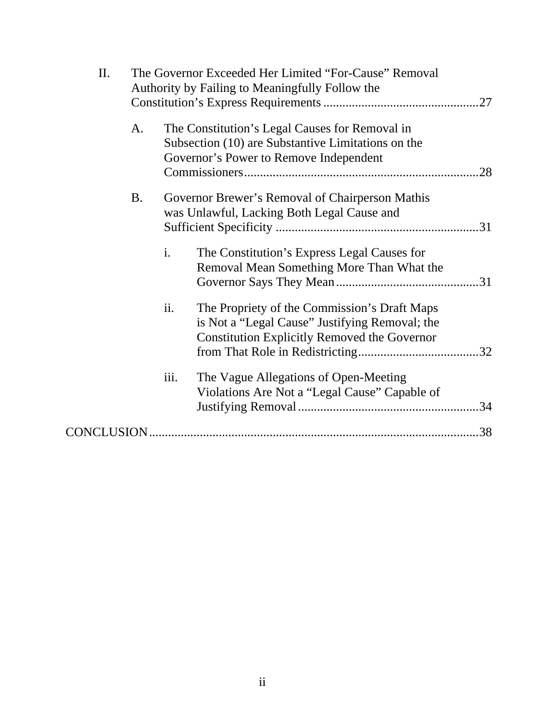| II. |    | The Governor Exceeded Her Limited "For-Cause" Removal<br>Authority by Failing to Meaningfully Follow the |                                                                                                                                                       |     |
|-----|----|----------------------------------------------------------------------------------------------------------|-------------------------------------------------------------------------------------------------------------------------------------------------------|-----|
|     | A. |                                                                                                          | The Constitution's Legal Causes for Removal in<br>Subsection (10) are Substantive Limitations on the<br>Governor's Power to Remove Independent        | .28 |
|     | B. |                                                                                                          | Governor Brewer's Removal of Chairperson Mathis<br>was Unlawful, Lacking Both Legal Cause and                                                         |     |
|     |    | i.                                                                                                       | The Constitution's Express Legal Causes for<br>Removal Mean Something More Than What the                                                              |     |
|     |    | ii.                                                                                                      | The Propriety of the Commission's Draft Maps<br>is Not a "Legal Cause" Justifying Removal; the<br><b>Constitution Explicitly Removed the Governor</b> |     |
|     |    | iii.                                                                                                     | The Vague Allegations of Open-Meeting<br>Violations Are Not a "Legal Cause" Capable of                                                                |     |
|     |    |                                                                                                          |                                                                                                                                                       |     |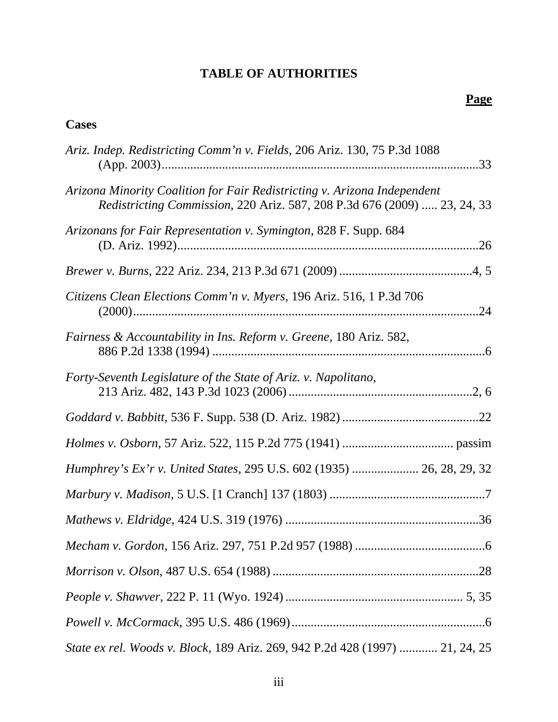# **TABLE OF AUTHORITIES**

### **Cases**

| Ariz. Indep. Redistricting Comm'n v. Fields, 206 Ariz. 130, 75 P.3d 1088                                                                             |
|------------------------------------------------------------------------------------------------------------------------------------------------------|
| Arizona Minority Coalition for Fair Redistricting v. Arizona Independent<br>Redistricting Commission, 220 Ariz. 587, 208 P.3d 676 (2009)  23, 24, 33 |
| Arizonans for Fair Representation v. Symington, 828 F. Supp. 684                                                                                     |
|                                                                                                                                                      |
| Citizens Clean Elections Comm'n v. Myers, 196 Ariz. 516, 1 P.3d 706                                                                                  |
| Fairness & Accountability in Ins. Reform v. Greene, 180 Ariz. 582,                                                                                   |
| Forty-Seventh Legislature of the State of Ariz. v. Napolitano,                                                                                       |
|                                                                                                                                                      |
|                                                                                                                                                      |
| Humphrey's Ex'r v. United States, 295 U.S. 602 (1935)  26, 28, 29, 32                                                                                |
|                                                                                                                                                      |
|                                                                                                                                                      |
|                                                                                                                                                      |
|                                                                                                                                                      |
|                                                                                                                                                      |
|                                                                                                                                                      |
| State ex rel. Woods v. Block, 189 Ariz. 269, 942 P.2d 428 (1997)  21, 24, 25                                                                         |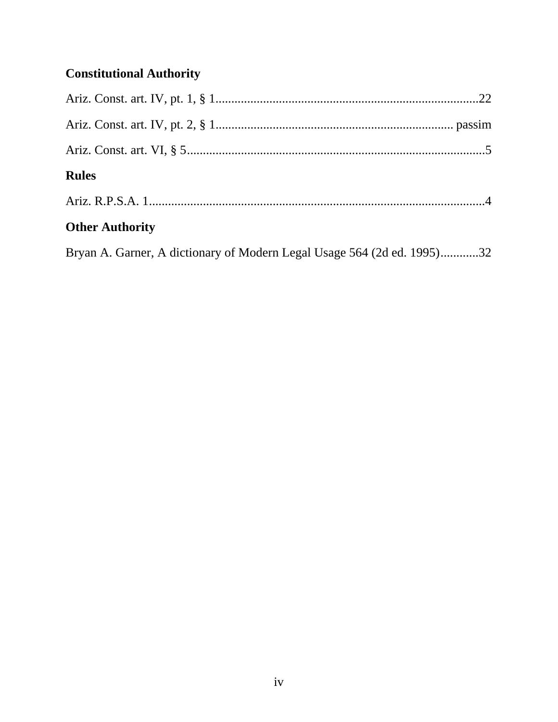# **Constitutional Authority**

| <b>Rules</b>                                                            |  |
|-------------------------------------------------------------------------|--|
|                                                                         |  |
| <b>Other Authority</b>                                                  |  |
| Bryan A. Garner, A dictionary of Modern Legal Usage 564 (2d ed. 1995)32 |  |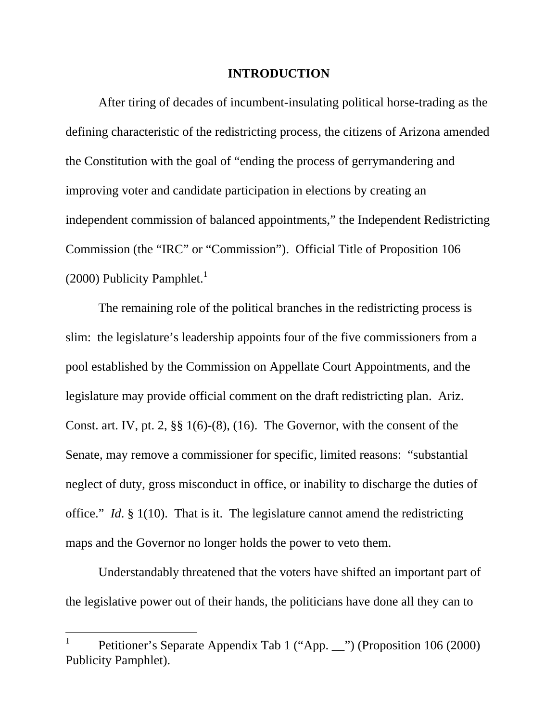#### **INTRODUCTION**

After tiring of decades of incumbent-insulating political horse-trading as the defining characteristic of the redistricting process, the citizens of Arizona amended the Constitution with the goal of "ending the process of gerrymandering and improving voter and candidate participation in elections by creating an independent commission of balanced appointments," the Independent Redistricting Commission (the "IRC" or "Commission"). Official Title of Proposition 106 (2000) Publicity Pamphlet.<sup>1</sup>

The remaining role of the political branches in the redistricting process is slim: the legislature's leadership appoints four of the five commissioners from a pool established by the Commission on Appellate Court Appointments, and the legislature may provide official comment on the draft redistricting plan. Ariz. Const. art. IV, pt. 2, §§ 1(6)-(8), (16). The Governor, with the consent of the Senate, may remove a commissioner for specific, limited reasons: "substantial neglect of duty, gross misconduct in office, or inability to discharge the duties of office." *Id*. § 1(10). That is it. The legislature cannot amend the redistricting maps and the Governor no longer holds the power to veto them.

Understandably threatened that the voters have shifted an important part of the legislative power out of their hands, the politicians have done all they can to

 $\overline{a}$ 

<sup>1</sup> Petitioner's Separate Appendix Tab 1 ("App. \_\_") (Proposition 106 (2000) Publicity Pamphlet).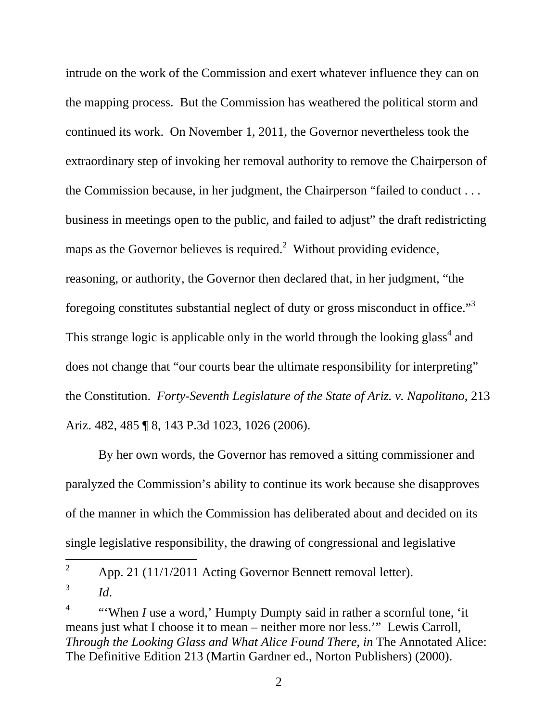intrude on the work of the Commission and exert whatever influence they can on the mapping process. But the Commission has weathered the political storm and continued its work. On November 1, 2011, the Governor nevertheless took the extraordinary step of invoking her removal authority to remove the Chairperson of the Commission because, in her judgment, the Chairperson "failed to conduct . . . business in meetings open to the public, and failed to adjust" the draft redistricting maps as the Governor believes is required.<sup>2</sup> Without providing evidence, reasoning, or authority, the Governor then declared that, in her judgment, "the foregoing constitutes substantial neglect of duty or gross misconduct in office."<sup>3</sup> This strange logic is applicable only in the world through the looking glass<sup>4</sup> and does not change that "our courts bear the ultimate responsibility for interpreting" the Constitution. *Forty-Seventh Legislature of the State of Ariz. v. Napolitano*, 213 Ariz. 482, 485 ¶ 8, 143 P.3d 1023, 1026 (2006).

By her own words, the Governor has removed a sitting commissioner and paralyzed the Commission's ability to continue its work because she disapproves of the manner in which the Commission has deliberated about and decided on its single legislative responsibility, the drawing of congressional and legislative

 $\overline{a}$ 

<sup>2</sup> App. 21 (11/1/2011 Acting Governor Bennett removal letter).

<sup>3</sup> *Id*.

<sup>4</sup> "'When *I* use a word,' Humpty Dumpty said in rather a scornful tone, 'it means just what I choose it to mean – neither more nor less.'" Lewis Carroll, *Through the Looking Glass and What Alice Found There*, *in* The Annotated Alice: The Definitive Edition 213 (Martin Gardner ed., Norton Publishers) (2000).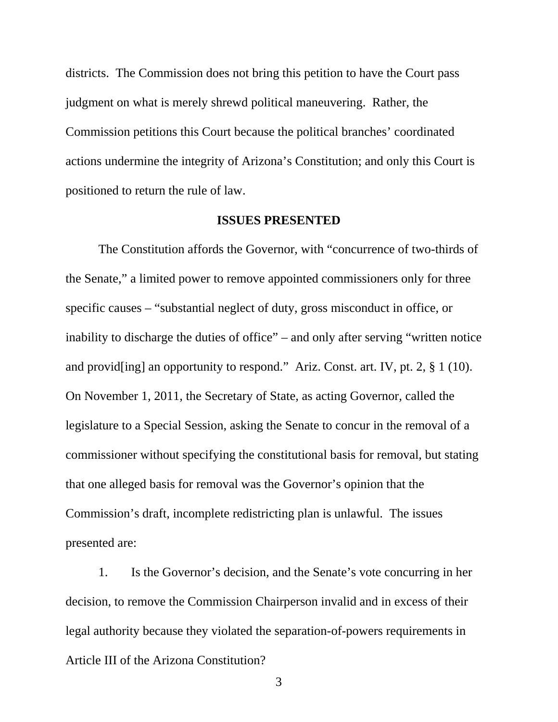districts. The Commission does not bring this petition to have the Court pass judgment on what is merely shrewd political maneuvering. Rather, the Commission petitions this Court because the political branches' coordinated actions undermine the integrity of Arizona's Constitution; and only this Court is positioned to return the rule of law.

#### **ISSUES PRESENTED**

The Constitution affords the Governor, with "concurrence of two-thirds of the Senate," a limited power to remove appointed commissioners only for three specific causes – "substantial neglect of duty, gross misconduct in office, or inability to discharge the duties of office" – and only after serving "written notice and provid[ing] an opportunity to respond." Ariz. Const. art. IV, pt. 2, § 1 (10). On November 1, 2011, the Secretary of State, as acting Governor, called the legislature to a Special Session, asking the Senate to concur in the removal of a commissioner without specifying the constitutional basis for removal, but stating that one alleged basis for removal was the Governor's opinion that the Commission's draft, incomplete redistricting plan is unlawful. The issues presented are:

1. Is the Governor's decision, and the Senate's vote concurring in her decision, to remove the Commission Chairperson invalid and in excess of their legal authority because they violated the separation-of-powers requirements in Article III of the Arizona Constitution?

3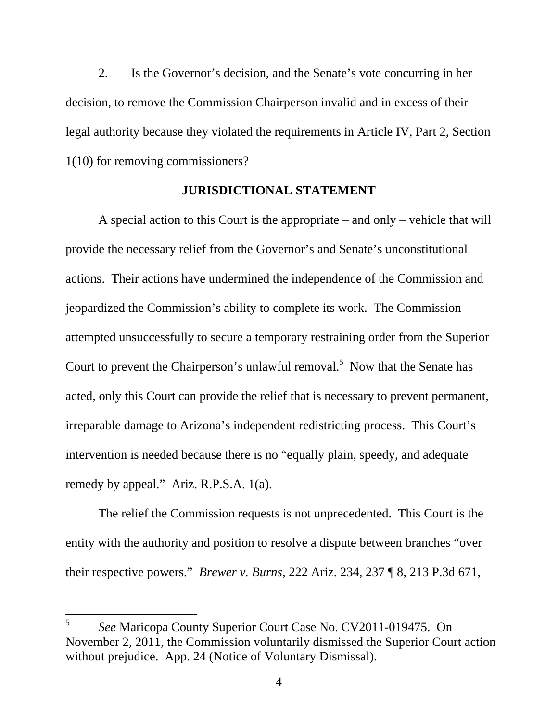2. Is the Governor's decision, and the Senate's vote concurring in her decision, to remove the Commission Chairperson invalid and in excess of their legal authority because they violated the requirements in Article IV, Part 2, Section 1(10) for removing commissioners?

#### **JURISDICTIONAL STATEMENT**

A special action to this Court is the appropriate – and only – vehicle that will provide the necessary relief from the Governor's and Senate's unconstitutional actions. Their actions have undermined the independence of the Commission and jeopardized the Commission's ability to complete its work. The Commission attempted unsuccessfully to secure a temporary restraining order from the Superior Court to prevent the Chairperson's unlawful removal.<sup>5</sup> Now that the Senate has acted, only this Court can provide the relief that is necessary to prevent permanent, irreparable damage to Arizona's independent redistricting process. This Court's intervention is needed because there is no "equally plain, speedy, and adequate remedy by appeal." Ariz. R.P.S.A. 1(a).

The relief the Commission requests is not unprecedented. This Court is the entity with the authority and position to resolve a dispute between branches "over their respective powers." *Brewer v. Burns*, 222 Ariz. 234, 237 ¶ 8, 213 P.3d 671,

 $\overline{a}$ 

<sup>5</sup> *See* Maricopa County Superior Court Case No. CV2011-019475. On November 2, 2011, the Commission voluntarily dismissed the Superior Court action without prejudice. App. 24 (Notice of Voluntary Dismissal).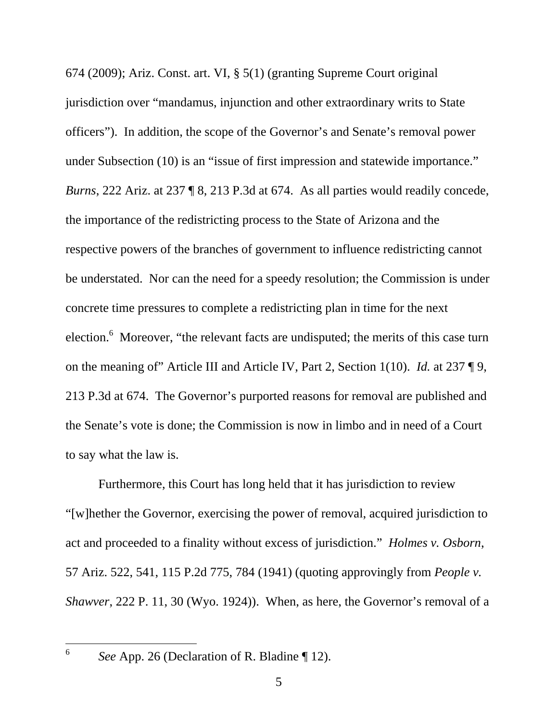674 (2009); Ariz. Const. art. VI, § 5(1) (granting Supreme Court original jurisdiction over "mandamus, injunction and other extraordinary writs to State officers"). In addition, the scope of the Governor's and Senate's removal power under Subsection (10) is an "issue of first impression and statewide importance." *Burns*, 222 Ariz. at 237 ¶ 8, 213 P.3d at 674. As all parties would readily concede, the importance of the redistricting process to the State of Arizona and the respective powers of the branches of government to influence redistricting cannot be understated. Nor can the need for a speedy resolution; the Commission is under concrete time pressures to complete a redistricting plan in time for the next election.<sup>6</sup> Moreover, "the relevant facts are undisputed; the merits of this case turn on the meaning of" Article III and Article IV, Part 2, Section 1(10). *Id.* at 237 ¶ 9, 213 P.3d at 674. The Governor's purported reasons for removal are published and the Senate's vote is done; the Commission is now in limbo and in need of a Court to say what the law is.

Furthermore, this Court has long held that it has jurisdiction to review "[w]hether the Governor, exercising the power of removal, acquired jurisdiction to act and proceeded to a finality without excess of jurisdiction." *Holmes v. Osborn*, 57 Ariz. 522, 541, 115 P.2d 775, 784 (1941) (quoting approvingly from *People v. Shawver*, 222 P. 11, 30 (Wyo. 1924)). When, as here, the Governor's removal of a

 $\overline{a}$ 6

*See* App. 26 (Declaration of R. Bladine ¶ 12).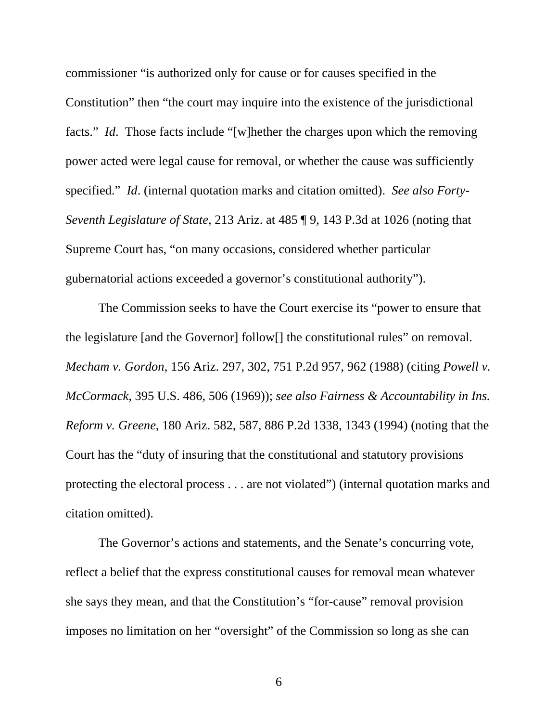commissioner "is authorized only for cause or for causes specified in the Constitution" then "the court may inquire into the existence of the jurisdictional facts." *Id*. Those facts include "[w]hether the charges upon which the removing power acted were legal cause for removal, or whether the cause was sufficiently specified." *Id*. (internal quotation marks and citation omitted). *See also Forty-Seventh Legislature of State*, 213 Ariz. at 485 ¶ 9, 143 P.3d at 1026 (noting that Supreme Court has, "on many occasions, considered whether particular gubernatorial actions exceeded a governor's constitutional authority").

The Commission seeks to have the Court exercise its "power to ensure that the legislature [and the Governor] follow[] the constitutional rules" on removal. *Mecham v. Gordon*, 156 Ariz. 297, 302, 751 P.2d 957, 962 (1988) (citing *Powell v. McCormack*, 395 U.S. 486, 506 (1969)); *see also Fairness & Accountability in Ins. Reform v. Greene*, 180 Ariz. 582, 587, 886 P.2d 1338, 1343 (1994) (noting that the Court has the "duty of insuring that the constitutional and statutory provisions protecting the electoral process . . . are not violated") (internal quotation marks and citation omitted).

The Governor's actions and statements, and the Senate's concurring vote, reflect a belief that the express constitutional causes for removal mean whatever she says they mean, and that the Constitution's "for-cause" removal provision imposes no limitation on her "oversight" of the Commission so long as she can

 $\overline{6}$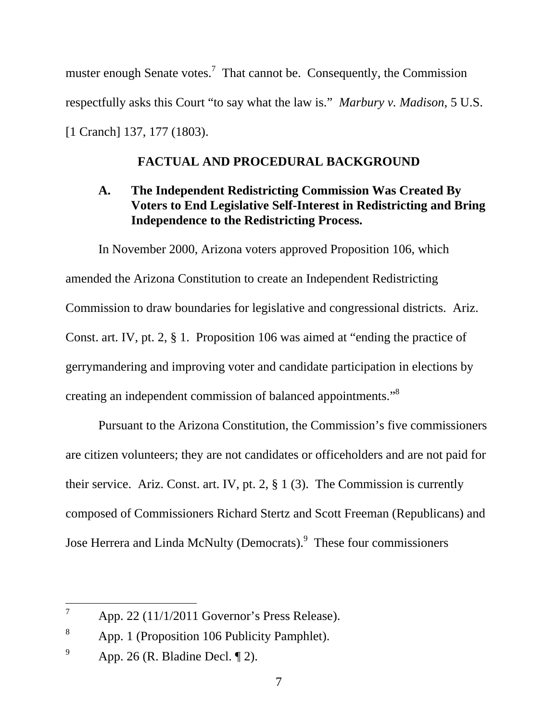muster enough Senate votes.<sup>7</sup> That cannot be. Consequently, the Commission respectfully asks this Court "to say what the law is." *Marbury v. Madison*, 5 U.S. [1 Cranch] 137, 177 (1803).

### **FACTUAL AND PROCEDURAL BACKGROUND**

### **A. The Independent Redistricting Commission Was Created By Voters to End Legislative Self-Interest in Redistricting and Bring Independence to the Redistricting Process.**

In November 2000, Arizona voters approved Proposition 106, which amended the Arizona Constitution to create an Independent Redistricting Commission to draw boundaries for legislative and congressional districts. Ariz. Const. art. IV, pt. 2, § 1. Proposition 106 was aimed at "ending the practice of gerrymandering and improving voter and candidate participation in elections by creating an independent commission of balanced appointments."8

Pursuant to the Arizona Constitution, the Commission's five commissioners are citizen volunteers; they are not candidates or officeholders and are not paid for their service. Ariz. Const. art. IV, pt. 2, § 1 (3). The Commission is currently composed of Commissioners Richard Stertz and Scott Freeman (Republicans) and Jose Herrera and Linda McNulty (Democrats).<sup>9</sup> These four commissioners

 $\overline{a}$ 

<sup>7</sup> App. 22 (11/1/2011 Governor's Press Release).

<sup>8</sup> App. 1 (Proposition 106 Publicity Pamphlet).

<sup>9</sup> App. 26 (R. Bladine Decl. ¶ 2).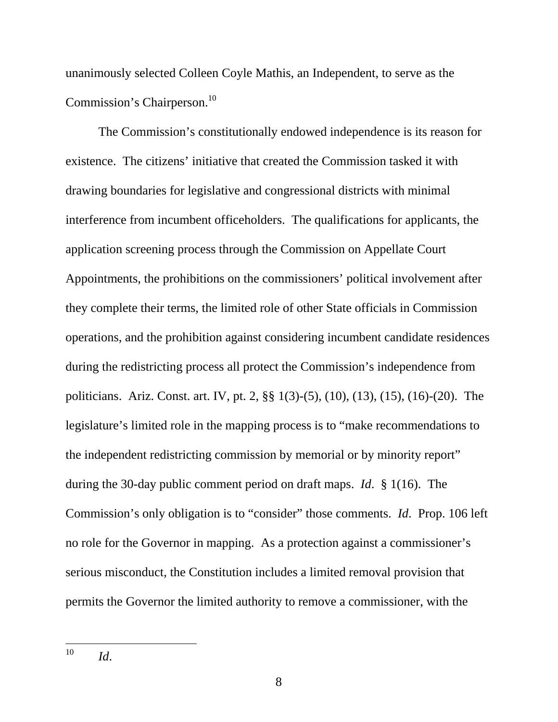unanimously selected Colleen Coyle Mathis, an Independent, to serve as the Commission's Chairperson.<sup>10</sup>

The Commission's constitutionally endowed independence is its reason for existence. The citizens' initiative that created the Commission tasked it with drawing boundaries for legislative and congressional districts with minimal interference from incumbent officeholders. The qualifications for applicants, the application screening process through the Commission on Appellate Court Appointments, the prohibitions on the commissioners' political involvement after they complete their terms, the limited role of other State officials in Commission operations, and the prohibition against considering incumbent candidate residences during the redistricting process all protect the Commission's independence from politicians. Ariz. Const. art. IV, pt. 2, §§ 1(3)-(5), (10), (13), (15), (16)-(20). The legislature's limited role in the mapping process is to "make recommendations to the independent redistricting commission by memorial or by minority report" during the 30-day public comment period on draft maps. *Id*. § 1(16). The Commission's only obligation is to "consider" those comments. *Id*. Prop. 106 left no role for the Governor in mapping. As a protection against a commissioner's serious misconduct, the Constitution includes a limited removal provision that permits the Governor the limited authority to remove a commissioner, with the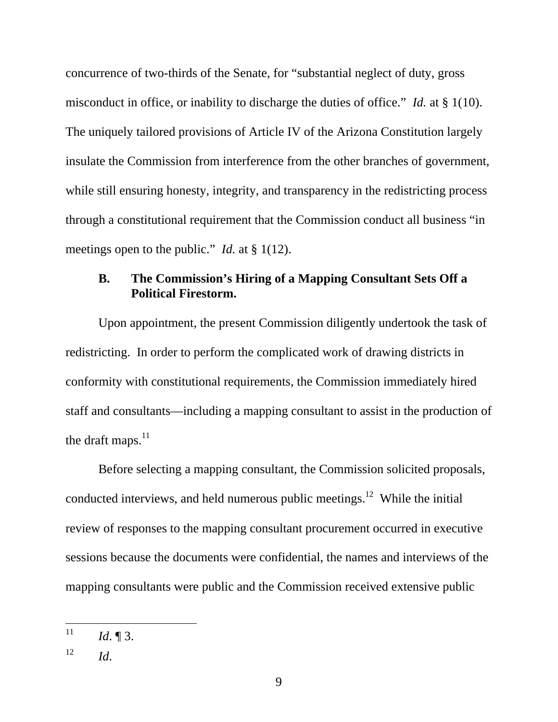concurrence of two-thirds of the Senate, for "substantial neglect of duty, gross misconduct in office, or inability to discharge the duties of office." *Id.* at § 1(10). The uniquely tailored provisions of Article IV of the Arizona Constitution largely insulate the Commission from interference from the other branches of government, while still ensuring honesty, integrity, and transparency in the redistricting process through a constitutional requirement that the Commission conduct all business "in meetings open to the public." *Id.* at § 1(12).

### **B. The Commission's Hiring of a Mapping Consultant Sets Off a Political Firestorm.**

Upon appointment, the present Commission diligently undertook the task of redistricting. In order to perform the complicated work of drawing districts in conformity with constitutional requirements, the Commission immediately hired staff and consultants—including a mapping consultant to assist in the production of the draft maps. $^{11}$ 

Before selecting a mapping consultant, the Commission solicited proposals, conducted interviews, and held numerous public meetings.<sup>12</sup> While the initial review of responses to the mapping consultant procurement occurred in executive sessions because the documents were confidential, the names and interviews of the mapping consultants were public and the Commission received extensive public

<sup>11</sup> *Id.* 13.

 $12$  *Id.*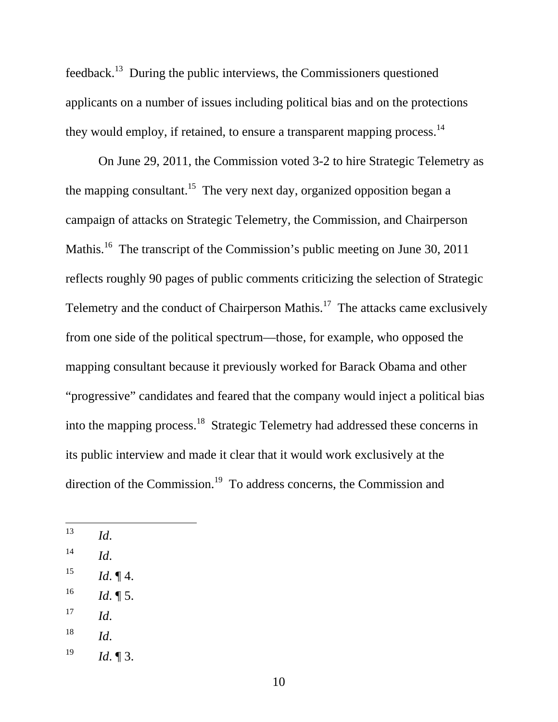feedback.13 During the public interviews, the Commissioners questioned applicants on a number of issues including political bias and on the protections they would employ, if retained, to ensure a transparent mapping process.<sup>14</sup>

On June 29, 2011, the Commission voted 3-2 to hire Strategic Telemetry as the mapping consultant.<sup>15</sup> The very next day, organized opposition began a campaign of attacks on Strategic Telemetry, the Commission, and Chairperson Mathis.<sup>16</sup> The transcript of the Commission's public meeting on June 30, 2011 reflects roughly 90 pages of public comments criticizing the selection of Strategic Telemetry and the conduct of Chairperson Mathis.<sup>17</sup> The attacks came exclusively from one side of the political spectrum—those, for example, who opposed the mapping consultant because it previously worked for Barack Obama and other "progressive" candidates and feared that the company would inject a political bias into the mapping process.18 Strategic Telemetry had addressed these concerns in its public interview and made it clear that it would work exclusively at the direction of the Commission.<sup>19</sup> To address concerns, the Commission and

 $14$  *Id.* 

- $15$  *Id.*  $\P$ 4.
- $16$  *Id.* 15.
- $^{17}$  *Id.*
- $^{18}$  *Id.*
- $19$  *Id.* 13.

<sup>13</sup> 13 *Id*.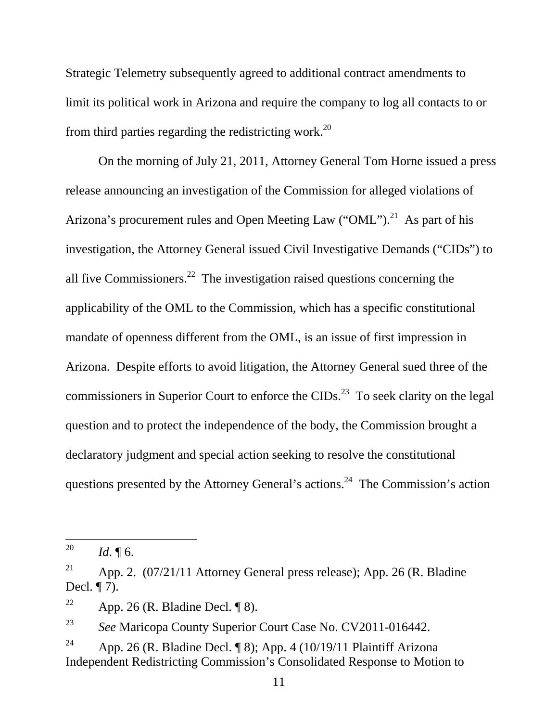Strategic Telemetry subsequently agreed to additional contract amendments to limit its political work in Arizona and require the company to log all contacts to or from third parties regarding the redistricting work.<sup>20</sup>

On the morning of July 21, 2011, Attorney General Tom Horne issued a press release announcing an investigation of the Commission for alleged violations of Arizona's procurement rules and Open Meeting Law ("OML").<sup>21</sup> As part of his investigation, the Attorney General issued Civil Investigative Demands ("CIDs") to all five Commissioners.<sup>22</sup> The investigation raised questions concerning the applicability of the OML to the Commission, which has a specific constitutional mandate of openness different from the OML, is an issue of first impression in Arizona. Despite efforts to avoid litigation, the Attorney General sued three of the commissioners in Superior Court to enforce the  $CIDs<sup>23</sup>$  To seek clarity on the legal question and to protect the independence of the body, the Commission brought a declaratory judgment and special action seeking to resolve the constitutional questions presented by the Attorney General's actions.24 The Commission's action

23 *See* Maricopa County Superior Court Case No. CV2011-016442.

<sup>20</sup> *Id.*  $\P$ 6.

<sup>&</sup>lt;sup>21</sup> App. 2.  $(07/21/11$  Attorney General press release); App. 26 (R. Bladine Decl. ¶ 7).

<sup>&</sup>lt;sup>22</sup> App. 26 (R. Bladine Decl.  $\P$  8).

<sup>&</sup>lt;sup>24</sup> App. 26 (R. Bladine Decl. ¶ 8); App. 4 (10/19/11 Plaintiff Arizona Independent Redistricting Commission's Consolidated Response to Motion to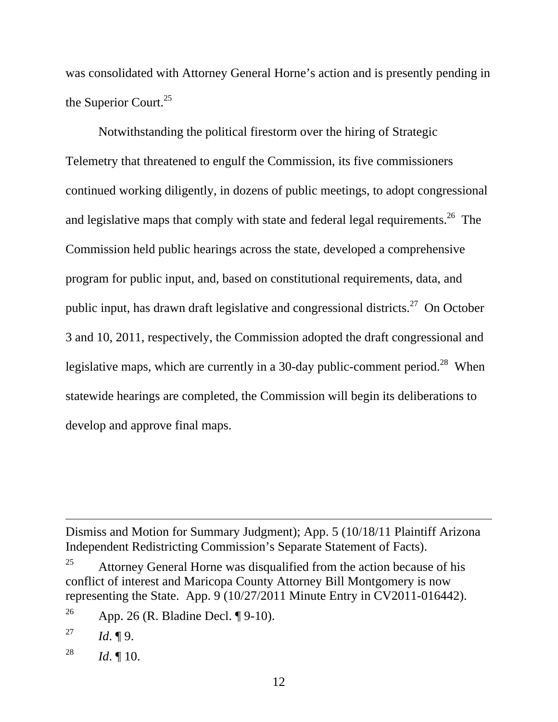was consolidated with Attorney General Horne's action and is presently pending in the Superior Court.<sup>25</sup>

Notwithstanding the political firestorm over the hiring of Strategic Telemetry that threatened to engulf the Commission, its five commissioners continued working diligently, in dozens of public meetings, to adopt congressional and legislative maps that comply with state and federal legal requirements.<sup>26</sup> The Commission held public hearings across the state, developed a comprehensive program for public input, and, based on constitutional requirements, data, and public input, has drawn draft legislative and congressional districts.<sup>27</sup> On October 3 and 10, 2011, respectively, the Commission adopted the draft congressional and legislative maps, which are currently in a 30-day public-comment period.<sup>28</sup> When statewide hearings are completed, the Commission will begin its deliberations to develop and approve final maps.

Dismiss and Motion for Summary Judgment); App. 5 (10/18/11 Plaintiff Arizona Independent Redistricting Commission's Separate Statement of Facts).

 $\overline{a}$ 

28 *Id*. ¶ 10.

<sup>&</sup>lt;sup>25</sup> Attorney General Horne was disqualified from the action because of his conflict of interest and Maricopa County Attorney Bill Montgomery is now representing the State. App. 9 (10/27/2011 Minute Entry in CV2011-016442).

<sup>&</sup>lt;sup>26</sup> App. 26 (R. Bladine Decl. ¶ 9-10).

<sup>&</sup>lt;sup>27</sup> *Id.* ¶ 9.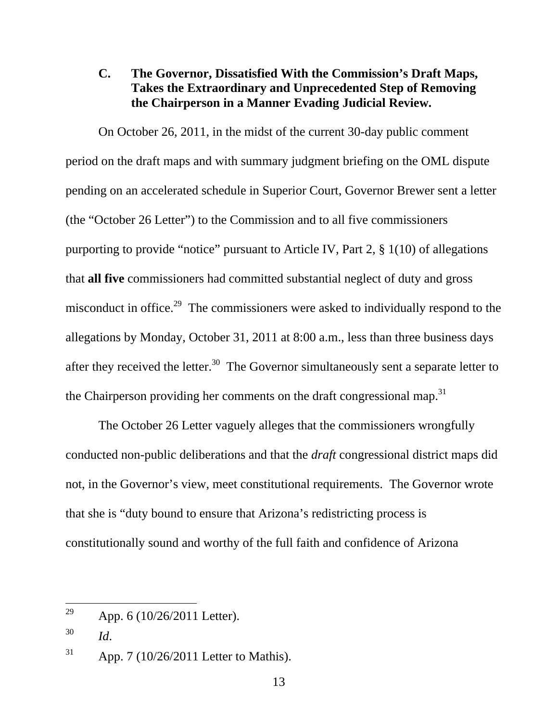### **C. The Governor, Dissatisfied With the Commission's Draft Maps, Takes the Extraordinary and Unprecedented Step of Removing the Chairperson in a Manner Evading Judicial Review.**

On October 26, 2011, in the midst of the current 30-day public comment period on the draft maps and with summary judgment briefing on the OML dispute pending on an accelerated schedule in Superior Court, Governor Brewer sent a letter (the "October 26 Letter") to the Commission and to all five commissioners purporting to provide "notice" pursuant to Article IV, Part 2, § 1(10) of allegations that **all five** commissioners had committed substantial neglect of duty and gross misconduct in office.<sup>29</sup> The commissioners were asked to individually respond to the allegations by Monday, October 31, 2011 at 8:00 a.m., less than three business days after they received the letter.<sup>30</sup> The Governor simultaneously sent a separate letter to the Chairperson providing her comments on the draft congressional map.<sup>31</sup>

The October 26 Letter vaguely alleges that the commissioners wrongfully conducted non-public deliberations and that the *draft* congressional district maps did not, in the Governor's view, meet constitutional requirements. The Governor wrote that she is "duty bound to ensure that Arizona's redistricting process is constitutionally sound and worthy of the full faith and confidence of Arizona

<sup>29</sup> App. 6 (10/26/2011 Letter).

<sup>30</sup> *Id*.

 $31$  App. 7 (10/26/2011 Letter to Mathis).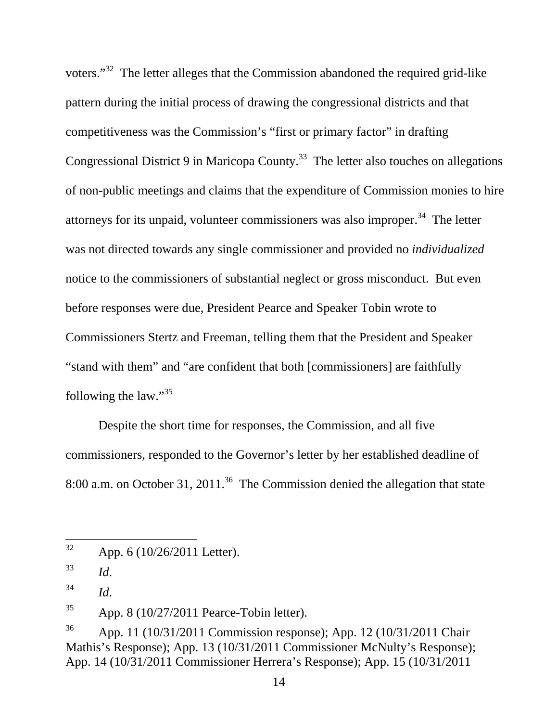voters."32 The letter alleges that the Commission abandoned the required grid-like pattern during the initial process of drawing the congressional districts and that competitiveness was the Commission's "first or primary factor" in drafting Congressional District 9 in Maricopa County.<sup>33</sup> The letter also touches on allegations of non-public meetings and claims that the expenditure of Commission monies to hire attorneys for its unpaid, volunteer commissioners was also improper.<sup>34</sup> The letter was not directed towards any single commissioner and provided no *individualized* notice to the commissioners of substantial neglect or gross misconduct. But even before responses were due, President Pearce and Speaker Tobin wrote to Commissioners Stertz and Freeman, telling them that the President and Speaker "stand with them" and "are confident that both [commissioners] are faithfully following the law."<sup>35</sup>

Despite the short time for responses, the Commission, and all five commissioners, responded to the Governor's letter by her established deadline of 8:00 a.m. on October 31, 2011.<sup>36</sup> The Commission denied the allegation that state

 $35$  App. 8 (10/27/2011 Pearce-Tobin letter).

<sup>32</sup> App. 6 (10/26/2011 Letter).

<sup>33</sup> *Id*.

<sup>34</sup> *Id*.

<sup>36</sup> App. 11 (10/31/2011 Commission response); App. 12 (10/31/2011 Chair Mathis's Response); App. 13 (10/31/2011 Commissioner McNulty's Response); App. 14 (10/31/2011 Commissioner Herrera's Response); App. 15 (10/31/2011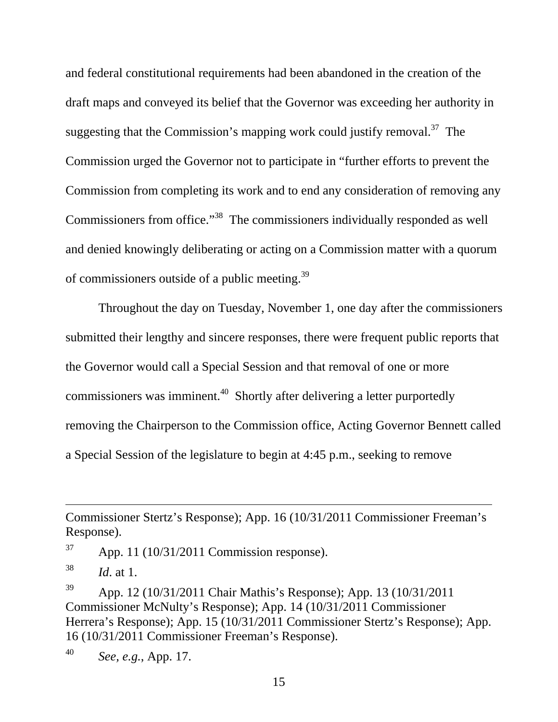and federal constitutional requirements had been abandoned in the creation of the draft maps and conveyed its belief that the Governor was exceeding her authority in suggesting that the Commission's mapping work could justify removal.<sup>37</sup> The Commission urged the Governor not to participate in "further efforts to prevent the Commission from completing its work and to end any consideration of removing any Commissioners from office."<sup>38</sup> The commissioners individually responded as well and denied knowingly deliberating or acting on a Commission matter with a quorum of commissioners outside of a public meeting.<sup>39</sup>

Throughout the day on Tuesday, November 1, one day after the commissioners submitted their lengthy and sincere responses, there were frequent public reports that the Governor would call a Special Session and that removal of one or more commissioners was imminent.<sup>40</sup> Shortly after delivering a letter purportedly removing the Chairperson to the Commission office, Acting Governor Bennett called a Special Session of the legislature to begin at 4:45 p.m., seeking to remove

 $\overline{a}$ 

39 App. 12 (10/31/2011 Chair Mathis's Response); App. 13 (10/31/2011 Commissioner McNulty's Response); App. 14 (10/31/2011 Commissioner Herrera's Response); App. 15 (10/31/2011 Commissioner Stertz's Response); App. 16 (10/31/2011 Commissioner Freeman's Response).

40 *See, e.g.*, App. 17.

Commissioner Stertz's Response); App. 16 (10/31/2011 Commissioner Freeman's Response).

 $37$  App. 11 (10/31/2011 Commission response).

<sup>38</sup> *Id*. at 1.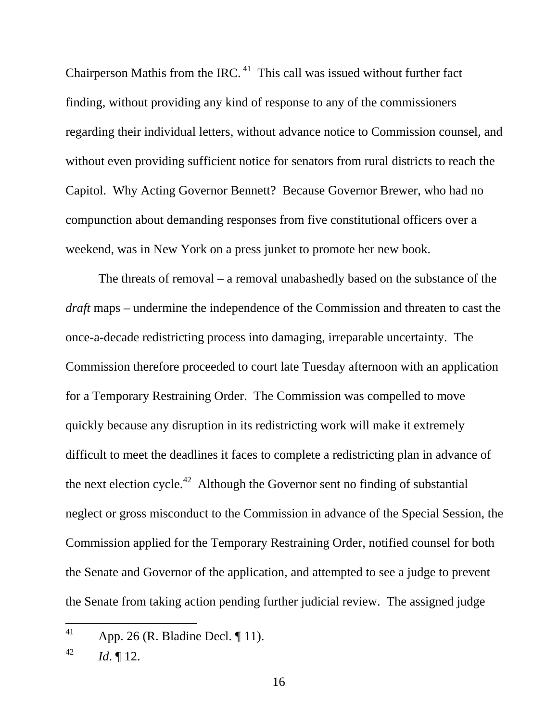Chairperson Mathis from the IRC.  $41$  This call was issued without further fact finding, without providing any kind of response to any of the commissioners regarding their individual letters, without advance notice to Commission counsel, and without even providing sufficient notice for senators from rural districts to reach the Capitol. Why Acting Governor Bennett? Because Governor Brewer, who had no compunction about demanding responses from five constitutional officers over a weekend, was in New York on a press junket to promote her new book.

The threats of removal – a removal unabashedly based on the substance of the *draft* maps – undermine the independence of the Commission and threaten to cast the once-a-decade redistricting process into damaging, irreparable uncertainty. The Commission therefore proceeded to court late Tuesday afternoon with an application for a Temporary Restraining Order. The Commission was compelled to move quickly because any disruption in its redistricting work will make it extremely difficult to meet the deadlines it faces to complete a redistricting plan in advance of the next election cycle.<sup>42</sup> Although the Governor sent no finding of substantial neglect or gross misconduct to the Commission in advance of the Special Session, the Commission applied for the Temporary Restraining Order, notified counsel for both the Senate and Governor of the application, and attempted to see a judge to prevent the Senate from taking action pending further judicial review. The assigned judge

<sup>41</sup> App. 26 (R. Bladine Decl. ¶ 11).

 $^{42}$  *Id.*  $\llbracket 12$ .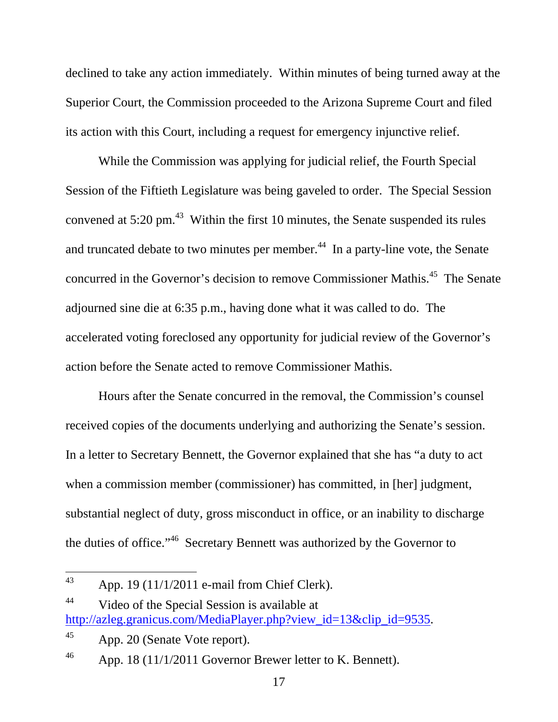declined to take any action immediately. Within minutes of being turned away at the Superior Court, the Commission proceeded to the Arizona Supreme Court and filed its action with this Court, including a request for emergency injunctive relief.

While the Commission was applying for judicial relief, the Fourth Special Session of the Fiftieth Legislature was being gaveled to order. The Special Session convened at  $5:20 \text{ pm}$ .<sup>43</sup> Within the first 10 minutes, the Senate suspended its rules and truncated debate to two minutes per member. $44$  In a party-line vote, the Senate concurred in the Governor's decision to remove Commissioner Mathis.<sup>45</sup> The Senate adjourned sine die at 6:35 p.m., having done what it was called to do. The accelerated voting foreclosed any opportunity for judicial review of the Governor's action before the Senate acted to remove Commissioner Mathis.

Hours after the Senate concurred in the removal, the Commission's counsel received copies of the documents underlying and authorizing the Senate's session. In a letter to Secretary Bennett, the Governor explained that she has "a duty to act when a commission member (commissioner) has committed, in [her] judgment, substantial neglect of duty, gross misconduct in office, or an inability to discharge the duties of office."46 Secretary Bennett was authorized by the Governor to

<sup>43</sup> App. 19 (11/1/2011 e-mail from Chief Clerk).

<sup>44</sup> Video of the Special Session is available at http://azleg.granicus.com/MediaPlayer.php?view\_id=13&clip\_id=9535.

 $45$  App. 20 (Senate Vote report).

<sup>&</sup>lt;sup>46</sup> App. 18 (11/1/2011 Governor Brewer letter to K. Bennett).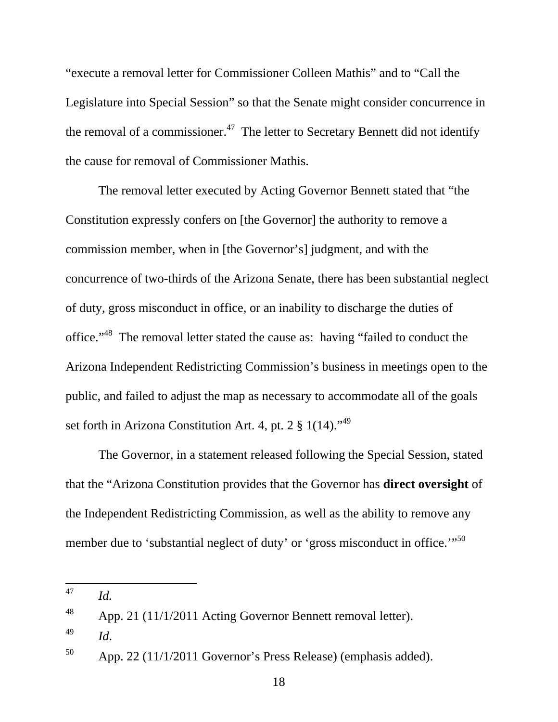"execute a removal letter for Commissioner Colleen Mathis" and to "Call the Legislature into Special Session" so that the Senate might consider concurrence in the removal of a commissioner.<sup>47</sup> The letter to Secretary Bennett did not identify the cause for removal of Commissioner Mathis.

The removal letter executed by Acting Governor Bennett stated that "the Constitution expressly confers on [the Governor] the authority to remove a commission member, when in [the Governor's] judgment, and with the concurrence of two-thirds of the Arizona Senate, there has been substantial neglect of duty, gross misconduct in office, or an inability to discharge the duties of office."<sup>48</sup> The removal letter stated the cause as: having "failed to conduct the Arizona Independent Redistricting Commission's business in meetings open to the public, and failed to adjust the map as necessary to accommodate all of the goals set forth in Arizona Constitution Art. 4, pt. 2  $\S$  1(14).<sup> $,49$ </sup>

The Governor, in a statement released following the Special Session, stated that the "Arizona Constitution provides that the Governor has **direct oversight** of the Independent Redistricting Commission, as well as the ability to remove any member due to 'substantial neglect of duty' or 'gross misconduct in office.'"<sup>50</sup>

<sup>47</sup> *Id.* 

 $48$  App. 21 (11/1/2011 Acting Governor Bennett removal letter).

<sup>49</sup> *Id*.

 $50$  App. 22 (11/1/2011 Governor's Press Release) (emphasis added).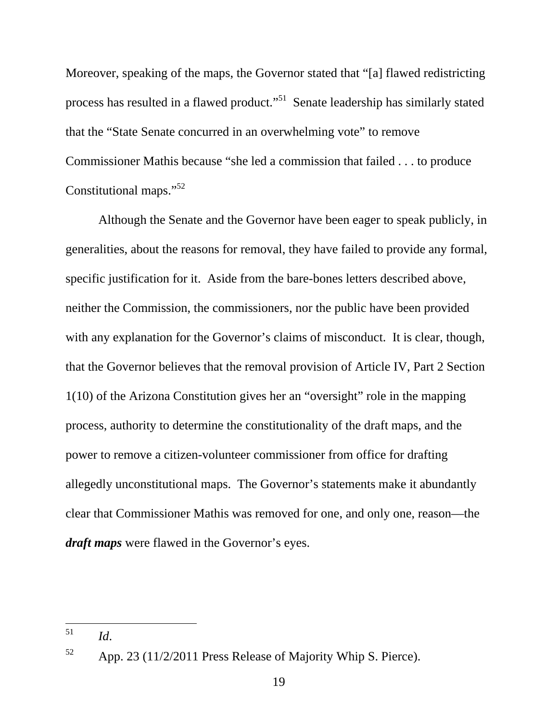Moreover, speaking of the maps, the Governor stated that "[a] flawed redistricting process has resulted in a flawed product."51 Senate leadership has similarly stated that the "State Senate concurred in an overwhelming vote" to remove Commissioner Mathis because "she led a commission that failed . . . to produce Constitutional maps."<sup>52</sup>

Although the Senate and the Governor have been eager to speak publicly, in generalities, about the reasons for removal, they have failed to provide any formal, specific justification for it. Aside from the bare-bones letters described above, neither the Commission, the commissioners, nor the public have been provided with any explanation for the Governor's claims of misconduct. It is clear, though, that the Governor believes that the removal provision of Article IV, Part 2 Section 1(10) of the Arizona Constitution gives her an "oversight" role in the mapping process, authority to determine the constitutionality of the draft maps, and the power to remove a citizen-volunteer commissioner from office for drafting allegedly unconstitutional maps. The Governor's statements make it abundantly clear that Commissioner Mathis was removed for one, and only one, reason—the *draft maps* were flawed in the Governor's eyes.

<sup>51</sup> 51 *Id*.

<sup>52</sup> App. 23 (11/2/2011 Press Release of Majority Whip S. Pierce).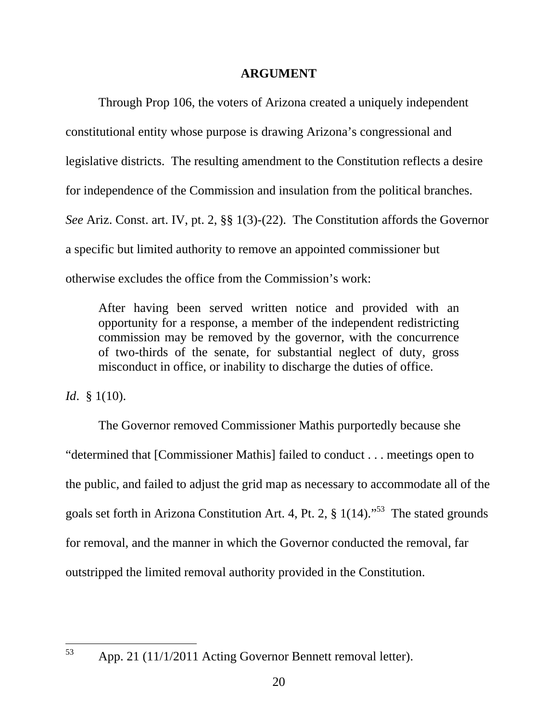#### **ARGUMENT**

Through Prop 106, the voters of Arizona created a uniquely independent constitutional entity whose purpose is drawing Arizona's congressional and legislative districts. The resulting amendment to the Constitution reflects a desire for independence of the Commission and insulation from the political branches. *See* Ariz. Const. art. IV, pt. 2, §§ 1(3)-(22). The Constitution affords the Governor a specific but limited authority to remove an appointed commissioner but otherwise excludes the office from the Commission's work:

After having been served written notice and provided with an opportunity for a response, a member of the independent redistricting commission may be removed by the governor, with the concurrence of two-thirds of the senate, for substantial neglect of duty, gross misconduct in office, or inability to discharge the duties of office.

*Id*. § 1(10).

The Governor removed Commissioner Mathis purportedly because she "determined that [Commissioner Mathis] failed to conduct . . . meetings open to the public, and failed to adjust the grid map as necessary to accommodate all of the goals set forth in Arizona Constitution Art. 4, Pt. 2,  $\S$  1(14).<sup> $53$ </sup> The stated grounds for removal, and the manner in which the Governor conducted the removal, far outstripped the limited removal authority provided in the Constitution.

53

App. 21 (11/1/2011 Acting Governor Bennett removal letter).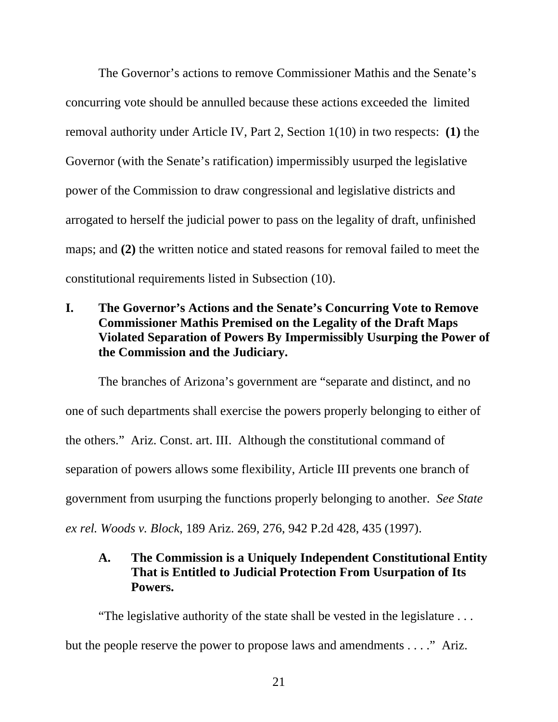The Governor's actions to remove Commissioner Mathis and the Senate's concurring vote should be annulled because these actions exceeded the limited removal authority under Article IV, Part 2, Section 1(10) in two respects: **(1)** the Governor (with the Senate's ratification) impermissibly usurped the legislative power of the Commission to draw congressional and legislative districts and arrogated to herself the judicial power to pass on the legality of draft, unfinished maps; and **(2)** the written notice and stated reasons for removal failed to meet the constitutional requirements listed in Subsection (10).

**I. The Governor's Actions and the Senate's Concurring Vote to Remove Commissioner Mathis Premised on the Legality of the Draft Maps Violated Separation of Powers By Impermissibly Usurping the Power of the Commission and the Judiciary.** 

The branches of Arizona's government are "separate and distinct, and no one of such departments shall exercise the powers properly belonging to either of the others." Ariz. Const. art. III. Although the constitutional command of separation of powers allows some flexibility, Article III prevents one branch of government from usurping the functions properly belonging to another. *See State ex rel. Woods v. Block*, 189 Ariz. 269, 276, 942 P.2d 428, 435 (1997).

### **A. The Commission is a Uniquely Independent Constitutional Entity That is Entitled to Judicial Protection From Usurpation of Its Powers.**

"The legislative authority of the state shall be vested in the legislature . . . but the people reserve the power to propose laws and amendments . . . ." Ariz.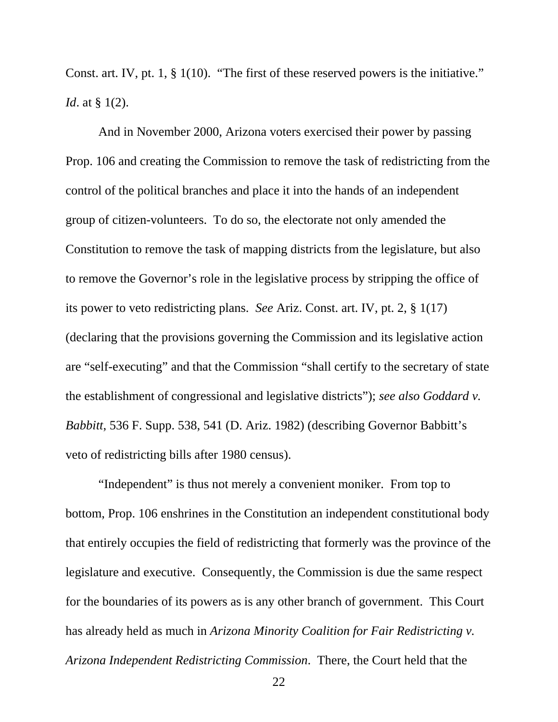Const. art. IV, pt. 1, § 1(10). "The first of these reserved powers is the initiative." *Id.* at § 1(2).

And in November 2000, Arizona voters exercised their power by passing Prop. 106 and creating the Commission to remove the task of redistricting from the control of the political branches and place it into the hands of an independent group of citizen-volunteers. To do so, the electorate not only amended the Constitution to remove the task of mapping districts from the legislature, but also to remove the Governor's role in the legislative process by stripping the office of its power to veto redistricting plans. *See* Ariz. Const. art. IV, pt. 2, § 1(17) (declaring that the provisions governing the Commission and its legislative action are "self-executing" and that the Commission "shall certify to the secretary of state the establishment of congressional and legislative districts"); *see also Goddard v. Babbitt*, 536 F. Supp. 538, 541 (D. Ariz. 1982) (describing Governor Babbitt's veto of redistricting bills after 1980 census).

"Independent" is thus not merely a convenient moniker. From top to bottom, Prop. 106 enshrines in the Constitution an independent constitutional body that entirely occupies the field of redistricting that formerly was the province of the legislature and executive. Consequently, the Commission is due the same respect for the boundaries of its powers as is any other branch of government. This Court has already held as much in *Arizona Minority Coalition for Fair Redistricting v. Arizona Independent Redistricting Commission*. There, the Court held that the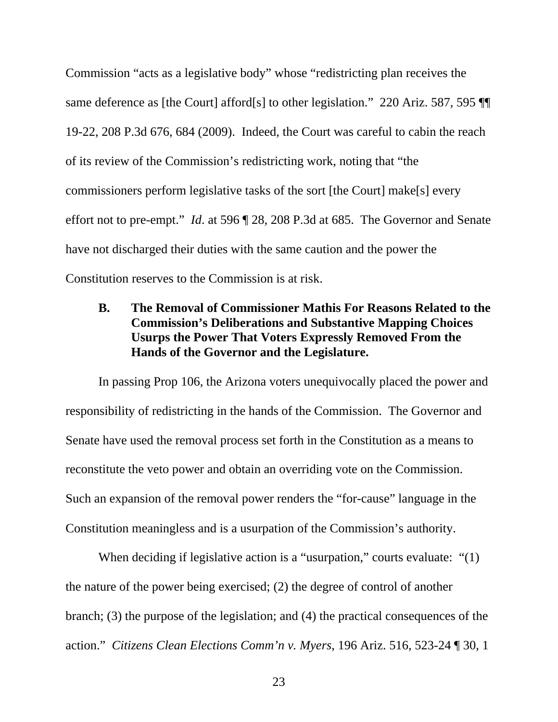Commission "acts as a legislative body" whose "redistricting plan receives the same deference as [the Court] afford[s] to other legislation." 220 Ariz. 587, 595 ¶ 19-22, 208 P.3d 676, 684 (2009). Indeed, the Court was careful to cabin the reach of its review of the Commission's redistricting work, noting that "the commissioners perform legislative tasks of the sort [the Court] make[s] every effort not to pre-empt." *Id*. at 596 ¶ 28, 208 P.3d at 685. The Governor and Senate have not discharged their duties with the same caution and the power the Constitution reserves to the Commission is at risk.

### **B. The Removal of Commissioner Mathis For Reasons Related to the Commission's Deliberations and Substantive Mapping Choices Usurps the Power That Voters Expressly Removed From the Hands of the Governor and the Legislature.**

In passing Prop 106, the Arizona voters unequivocally placed the power and responsibility of redistricting in the hands of the Commission. The Governor and Senate have used the removal process set forth in the Constitution as a means to reconstitute the veto power and obtain an overriding vote on the Commission. Such an expansion of the removal power renders the "for-cause" language in the Constitution meaningless and is a usurpation of the Commission's authority.

When deciding if legislative action is a "usurpation," courts evaluate: "(1) the nature of the power being exercised; (2) the degree of control of another branch; (3) the purpose of the legislation; and (4) the practical consequences of the action." *Citizens Clean Elections Comm'n v. Myers*, 196 Ariz. 516, 523-24 ¶ 30, 1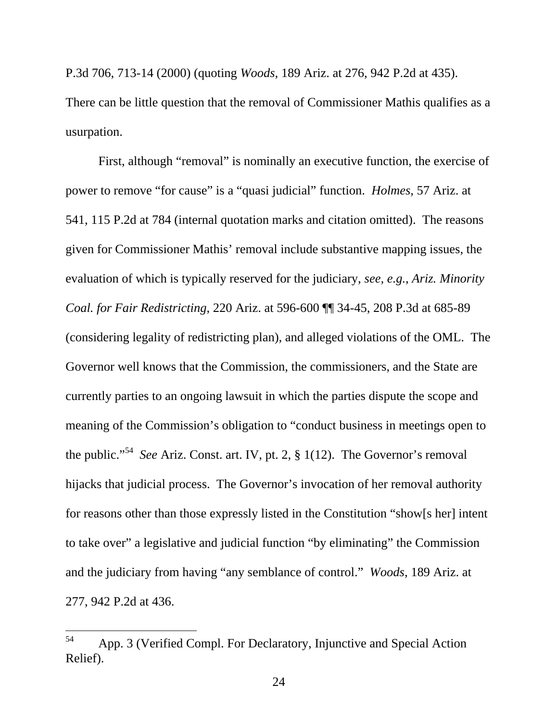P.3d 706, 713-14 (2000) (quoting *Woods*, 189 Ariz. at 276, 942 P.2d at 435).

There can be little question that the removal of Commissioner Mathis qualifies as a usurpation.

First, although "removal" is nominally an executive function, the exercise of power to remove "for cause" is a "quasi judicial" function. *Holmes*, 57 Ariz. at 541, 115 P.2d at 784 (internal quotation marks and citation omitted). The reasons given for Commissioner Mathis' removal include substantive mapping issues, the evaluation of which is typically reserved for the judiciary, *see, e.g.*, *Ariz. Minority Coal. for Fair Redistricting*, 220 Ariz. at 596-600 ¶¶ 34-45, 208 P.3d at 685-89 (considering legality of redistricting plan), and alleged violations of the OML. The Governor well knows that the Commission, the commissioners, and the State are currently parties to an ongoing lawsuit in which the parties dispute the scope and meaning of the Commission's obligation to "conduct business in meetings open to the public."54 *See* Ariz. Const. art. IV, pt. 2, § 1(12). The Governor's removal hijacks that judicial process. The Governor's invocation of her removal authority for reasons other than those expressly listed in the Constitution "show[s her] intent to take over" a legislative and judicial function "by eliminating" the Commission and the judiciary from having "any semblance of control." *Woods*, 189 Ariz. at 277, 942 P.2d at 436.

 $\overline{a}$ 

<sup>54</sup> App. 3 (Verified Compl. For Declaratory, Injunctive and Special Action Relief).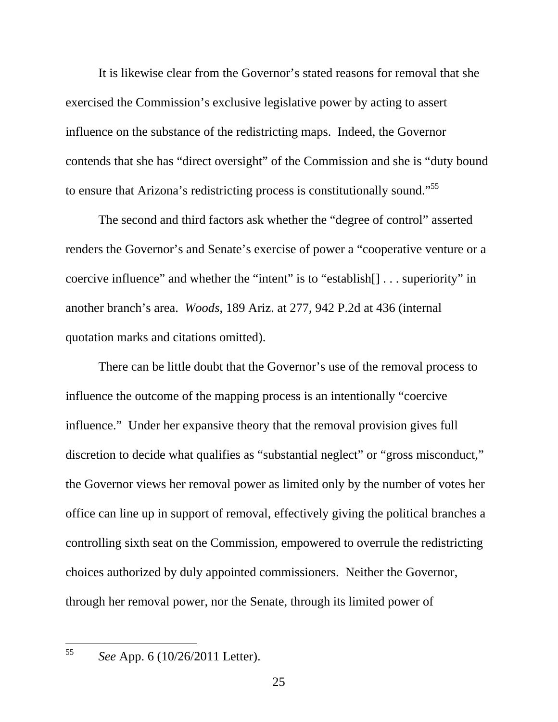It is likewise clear from the Governor's stated reasons for removal that she exercised the Commission's exclusive legislative power by acting to assert influence on the substance of the redistricting maps. Indeed, the Governor contends that she has "direct oversight" of the Commission and she is "duty bound to ensure that Arizona's redistricting process is constitutionally sound."55

The second and third factors ask whether the "degree of control" asserted renders the Governor's and Senate's exercise of power a "cooperative venture or a coercive influence" and whether the "intent" is to "establish[] . . . superiority" in another branch's area. *Woods*, 189 Ariz. at 277, 942 P.2d at 436 (internal quotation marks and citations omitted).

There can be little doubt that the Governor's use of the removal process to influence the outcome of the mapping process is an intentionally "coercive influence." Under her expansive theory that the removal provision gives full discretion to decide what qualifies as "substantial neglect" or "gross misconduct," the Governor views her removal power as limited only by the number of votes her office can line up in support of removal, effectively giving the political branches a controlling sixth seat on the Commission, empowered to overrule the redistricting choices authorized by duly appointed commissioners. Neither the Governor, through her removal power, nor the Senate, through its limited power of

 $\overline{a}$ 

<sup>55</sup> *See* App. 6 (10/26/2011 Letter).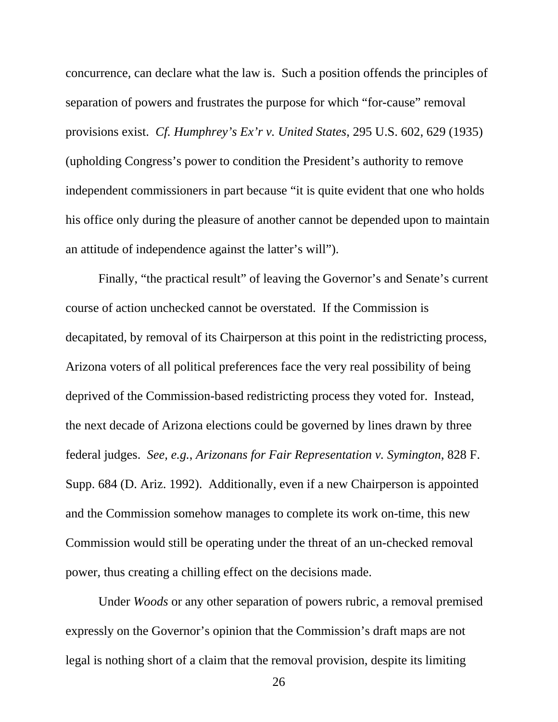concurrence, can declare what the law is. Such a position offends the principles of separation of powers and frustrates the purpose for which "for-cause" removal provisions exist. *Cf. Humphrey's Ex'r v. United States*, 295 U.S. 602, 629 (1935) (upholding Congress's power to condition the President's authority to remove independent commissioners in part because "it is quite evident that one who holds his office only during the pleasure of another cannot be depended upon to maintain an attitude of independence against the latter's will").

Finally, "the practical result" of leaving the Governor's and Senate's current course of action unchecked cannot be overstated. If the Commission is decapitated, by removal of its Chairperson at this point in the redistricting process, Arizona voters of all political preferences face the very real possibility of being deprived of the Commission-based redistricting process they voted for. Instead, the next decade of Arizona elections could be governed by lines drawn by three federal judges. *See, e.g.*, *Arizonans for Fair Representation v. Symington*, 828 F. Supp. 684 (D. Ariz. 1992). Additionally, even if a new Chairperson is appointed and the Commission somehow manages to complete its work on-time, this new Commission would still be operating under the threat of an un-checked removal power, thus creating a chilling effect on the decisions made.

Under *Woods* or any other separation of powers rubric, a removal premised expressly on the Governor's opinion that the Commission's draft maps are not legal is nothing short of a claim that the removal provision, despite its limiting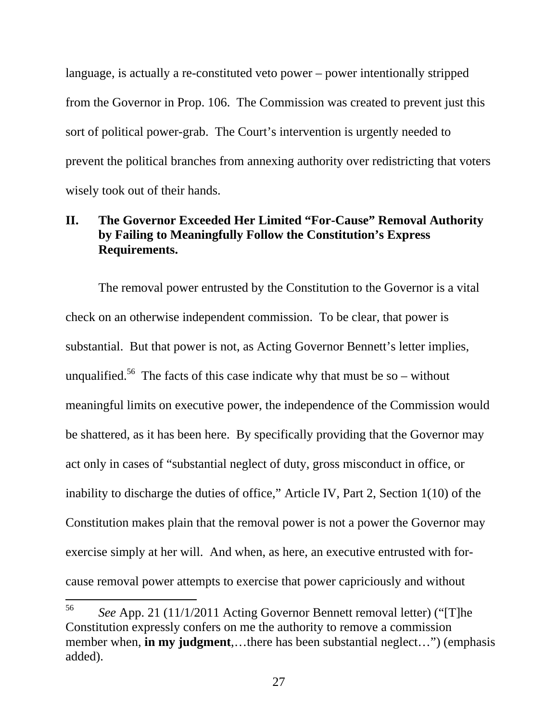language, is actually a re-constituted veto power – power intentionally stripped from the Governor in Prop. 106. The Commission was created to prevent just this sort of political power-grab. The Court's intervention is urgently needed to prevent the political branches from annexing authority over redistricting that voters wisely took out of their hands.

# **II. The Governor Exceeded Her Limited "For-Cause" Removal Authority by Failing to Meaningfully Follow the Constitution's Express Requirements.**

The removal power entrusted by the Constitution to the Governor is a vital check on an otherwise independent commission. To be clear, that power is substantial. But that power is not, as Acting Governor Bennett's letter implies, unqualified.<sup>56</sup> The facts of this case indicate why that must be so – without meaningful limits on executive power, the independence of the Commission would be shattered, as it has been here. By specifically providing that the Governor may act only in cases of "substantial neglect of duty, gross misconduct in office, or inability to discharge the duties of office," Article IV, Part 2, Section 1(10) of the Constitution makes plain that the removal power is not a power the Governor may exercise simply at her will. And when, as here, an executive entrusted with forcause removal power attempts to exercise that power capriciously and without

<sup>56</sup> 56 *See* App. 21 (11/1/2011 Acting Governor Bennett removal letter) ("[T]he Constitution expressly confers on me the authority to remove a commission member when, **in my judgment**,…there has been substantial neglect…") (emphasis added).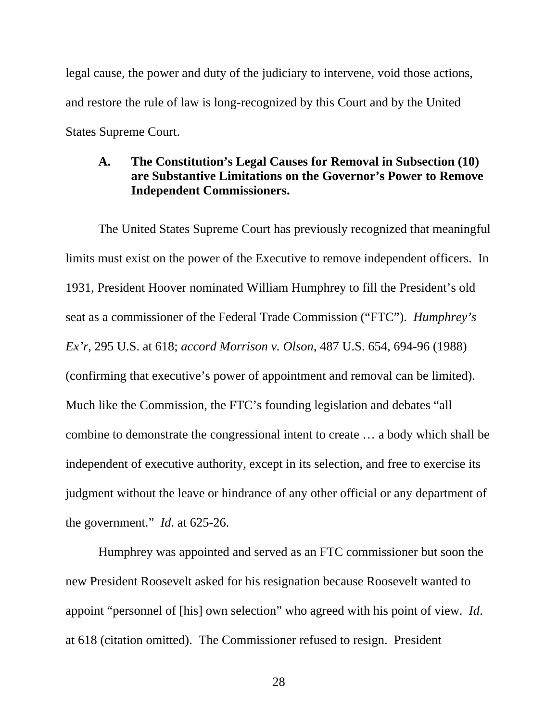legal cause, the power and duty of the judiciary to intervene, void those actions, and restore the rule of law is long-recognized by this Court and by the United States Supreme Court.

#### **A. The Constitution's Legal Causes for Removal in Subsection (10) are Substantive Limitations on the Governor's Power to Remove Independent Commissioners.**

The United States Supreme Court has previously recognized that meaningful limits must exist on the power of the Executive to remove independent officers.In 1931, President Hoover nominated William Humphrey to fill the President's old seat as a commissioner of the Federal Trade Commission ("FTC"). *Humphrey's Ex'r*, 295 U.S. at 618; *accord Morrison v. Olson*, 487 U.S. 654, 694-96 (1988) (confirming that executive's power of appointment and removal can be limited). Much like the Commission, the FTC's founding legislation and debates "all combine to demonstrate the congressional intent to create … a body which shall be independent of executive authority, except in its selection, and free to exercise its judgment without the leave or hindrance of any other official or any department of the government." *Id*. at 625-26.

Humphrey was appointed and served as an FTC commissioner but soon the new President Roosevelt asked for his resignation because Roosevelt wanted to appoint "personnel of [his] own selection" who agreed with his point of view. *Id*. at 618 (citation omitted). The Commissioner refused to resign. President

28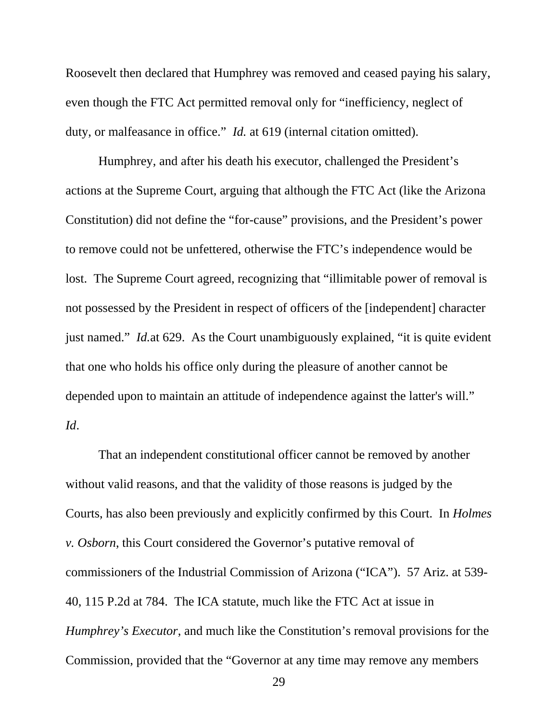Roosevelt then declared that Humphrey was removed and ceased paying his salary, even though the FTC Act permitted removal only for "inefficiency, neglect of duty, or malfeasance in office." *Id.* at 619 (internal citation omitted).

Humphrey, and after his death his executor, challenged the President's actions at the Supreme Court, arguing that although the FTC Act (like the Arizona Constitution) did not define the "for-cause" provisions, and the President's power to remove could not be unfettered, otherwise the FTC's independence would be lost. The Supreme Court agreed, recognizing that "illimitable power of removal is not possessed by the President in respect of officers of the [independent] character just named." *Id.*at 629. As the Court unambiguously explained, "it is quite evident that one who holds his office only during the pleasure of another cannot be depended upon to maintain an attitude of independence against the latter's will." *Id*.

That an independent constitutional officer cannot be removed by another without valid reasons, and that the validity of those reasons is judged by the Courts, has also been previously and explicitly confirmed by this Court. In *Holmes v. Osborn*, this Court considered the Governor's putative removal of commissioners of the Industrial Commission of Arizona ("ICA"). 57 Ariz. at 539- 40, 115 P.2d at 784. The ICA statute, much like the FTC Act at issue in *Humphrey's Executor*, and much like the Constitution's removal provisions for the Commission, provided that the "Governor at any time may remove any members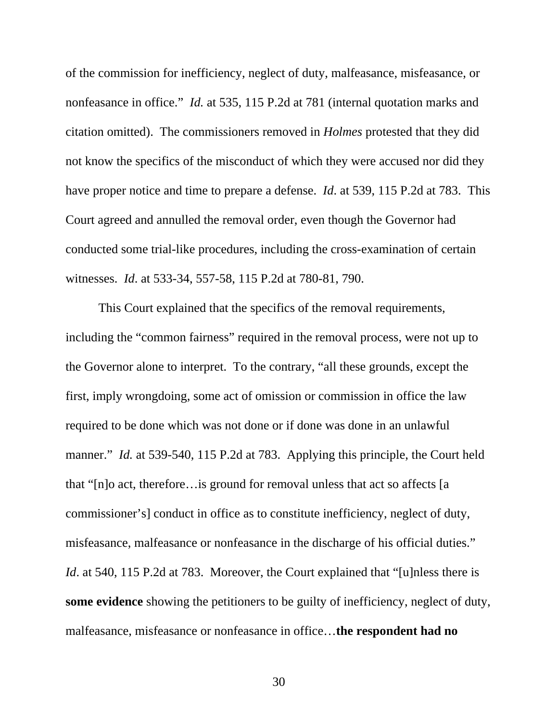of the commission for inefficiency, neglect of duty, malfeasance, misfeasance, or nonfeasance in office." *Id.* at 535, 115 P.2d at 781 (internal quotation marks and citation omitted). The commissioners removed in *Holmes* protested that they did not know the specifics of the misconduct of which they were accused nor did they have proper notice and time to prepare a defense. *Id*. at 539, 115 P.2d at 783. This Court agreed and annulled the removal order, even though the Governor had conducted some trial-like procedures, including the cross-examination of certain witnesses. *Id*. at 533-34, 557-58, 115 P.2d at 780-81, 790.

This Court explained that the specifics of the removal requirements, including the "common fairness" required in the removal process, were not up to the Governor alone to interpret. To the contrary, "all these grounds, except the first, imply wrongdoing, some act of omission or commission in office the law required to be done which was not done or if done was done in an unlawful manner." *Id.* at 539-540, 115 P.2d at 783. Applying this principle, the Court held that "[n]o act, therefore…is ground for removal unless that act so affects [a commissioner's] conduct in office as to constitute inefficiency, neglect of duty, misfeasance, malfeasance or nonfeasance in the discharge of his official duties." *Id.* at 540, 115 P.2d at 783. Moreover, the Court explained that "[u]nless there is **some evidence** showing the petitioners to be guilty of inefficiency, neglect of duty, malfeasance, misfeasance or nonfeasance in office…**the respondent had no**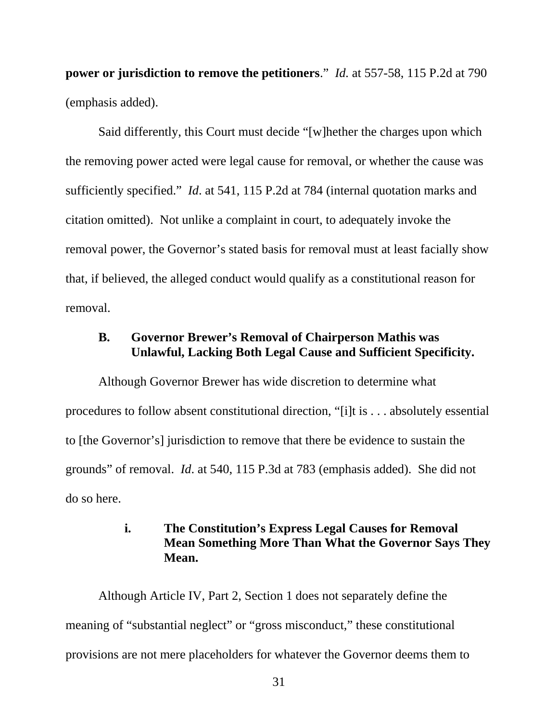**power or jurisdiction to remove the petitioners**." *Id.* at 557-58, 115 P.2d at 790 (emphasis added).

Said differently, this Court must decide "[w]hether the charges upon which the removing power acted were legal cause for removal, or whether the cause was sufficiently specified." *Id*. at 541, 115 P.2d at 784 (internal quotation marks and citation omitted). Not unlike a complaint in court, to adequately invoke the removal power, the Governor's stated basis for removal must at least facially show that, if believed, the alleged conduct would qualify as a constitutional reason for removal.

#### **B. Governor Brewer's Removal of Chairperson Mathis was Unlawful, Lacking Both Legal Cause and Sufficient Specificity.**

Although Governor Brewer has wide discretion to determine what procedures to follow absent constitutional direction, "[i]t is . . . absolutely essential to [the Governor's] jurisdiction to remove that there be evidence to sustain the grounds" of removal. *Id*. at 540, 115 P.3d at 783 (emphasis added). She did not do so here.

### **i. The Constitution's Express Legal Causes for Removal Mean Something More Than What the Governor Says They Mean.**

Although Article IV, Part 2, Section 1 does not separately define the meaning of "substantial neglect" or "gross misconduct," these constitutional provisions are not mere placeholders for whatever the Governor deems them to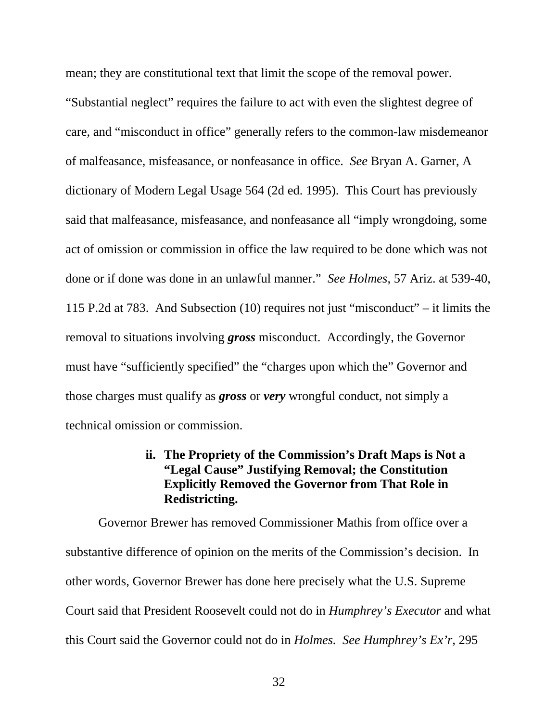mean; they are constitutional text that limit the scope of the removal power. "Substantial neglect" requires the failure to act with even the slightest degree of care, and "misconduct in office" generally refers to the common-law misdemeanor of malfeasance, misfeasance, or nonfeasance in office. *See* Bryan A. Garner, A dictionary of Modern Legal Usage 564 (2d ed. 1995). This Court has previously said that malfeasance, misfeasance, and nonfeasance all "imply wrongdoing, some act of omission or commission in office the law required to be done which was not done or if done was done in an unlawful manner." *See Holmes*, 57 Ariz. at 539-40, 115 P.2d at 783. And Subsection (10) requires not just "misconduct" – it limits the removal to situations involving *gross* misconduct. Accordingly, the Governor must have "sufficiently specified" the "charges upon which the" Governor and those charges must qualify as *gross* or *very* wrongful conduct, not simply a technical omission or commission.

#### **ii. The Propriety of the Commission's Draft Maps is Not a "Legal Cause" Justifying Removal; the Constitution Explicitly Removed the Governor from That Role in Redistricting.**

Governor Brewer has removed Commissioner Mathis from office over a substantive difference of opinion on the merits of the Commission's decision. In other words, Governor Brewer has done here precisely what the U.S. Supreme Court said that President Roosevelt could not do in *Humphrey's Executor* and what this Court said the Governor could not do in *Holmes. See Humphrey's Ex'r*, 295

32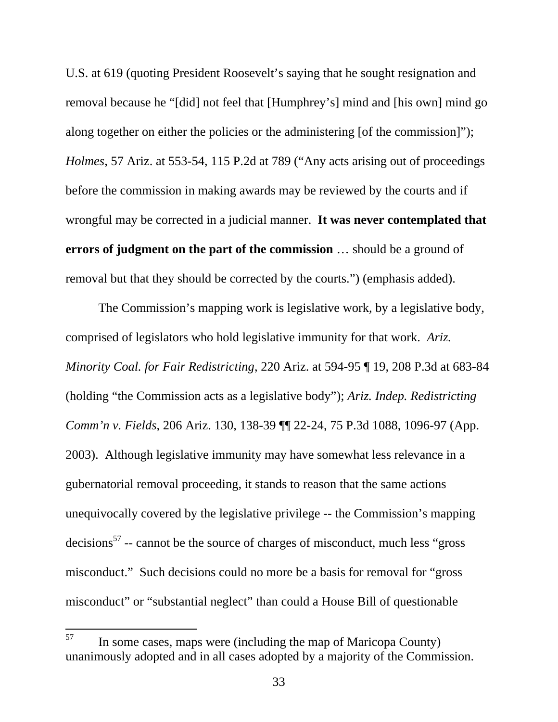U.S. at 619 (quoting President Roosevelt's saying that he sought resignation and removal because he "[did] not feel that [Humphrey's] mind and [his own] mind go along together on either the policies or the administering [of the commission]"); *Holmes*, 57 Ariz. at 553-54, 115 P.2d at 789 ("Any acts arising out of proceedings before the commission in making awards may be reviewed by the courts and if wrongful may be corrected in a judicial manner. **It was never contemplated that errors of judgment on the part of the commission** … should be a ground of removal but that they should be corrected by the courts.") (emphasis added).

The Commission's mapping work is legislative work, by a legislative body, comprised of legislators who hold legislative immunity for that work. *Ariz. Minority Coal. for Fair Redistricting*, 220 Ariz. at 594-95 ¶ 19, 208 P.3d at 683-84 (holding "the Commission acts as a legislative body"); *Ariz. Indep. Redistricting Comm'n v. Fields*, 206 Ariz. 130, 138-39 ¶¶ 22-24, 75 P.3d 1088, 1096-97 (App. 2003). Although legislative immunity may have somewhat less relevance in a gubernatorial removal proceeding, it stands to reason that the same actions unequivocally covered by the legislative privilege -- the Commission's mapping decisions $57$  -- cannot be the source of charges of misconduct, much less "gross" misconduct." Such decisions could no more be a basis for removal for "gross misconduct" or "substantial neglect" than could a House Bill of questionable

<sup>57</sup> In some cases, maps were (including the map of Maricopa County) unanimously adopted and in all cases adopted by a majority of the Commission.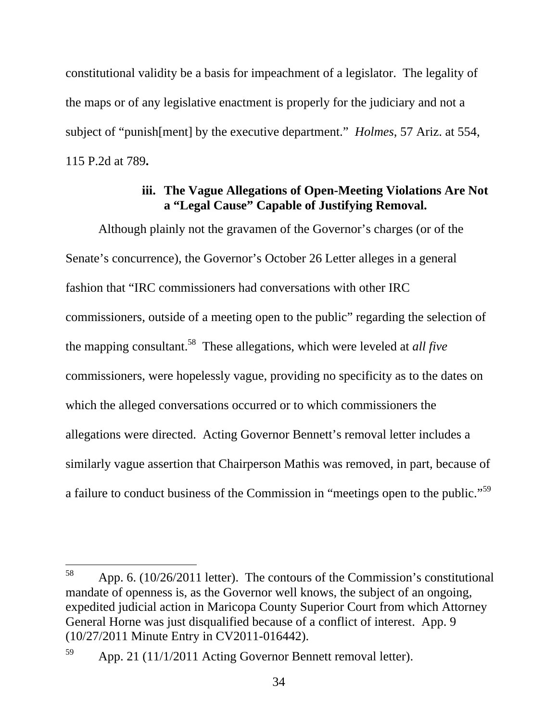constitutional validity be a basis for impeachment of a legislator. The legality of the maps or of any legislative enactment is properly for the judiciary and not a subject of "punish[ment] by the executive department." *Holmes*, 57 Ariz. at 554, 115 P.2d at 789**.**

### **iii. The Vague Allegations of Open-Meeting Violations Are Not a "Legal Cause" Capable of Justifying Removal.**

Although plainly not the gravamen of the Governor's charges (or of the Senate's concurrence), the Governor's October 26 Letter alleges in a general fashion that "IRC commissioners had conversations with other IRC commissioners, outside of a meeting open to the public" regarding the selection of the mapping consultant.58 These allegations, which were leveled at *all five* commissioners, were hopelessly vague, providing no specificity as to the dates on which the alleged conversations occurred or to which commissioners the allegations were directed. Acting Governor Bennett's removal letter includes a similarly vague assertion that Chairperson Mathis was removed, in part, because of a failure to conduct business of the Commission in "meetings open to the public."59

<sup>58</sup> App. 6. (10/26/2011 letter). The contours of the Commission's constitutional mandate of openness is, as the Governor well knows, the subject of an ongoing, expedited judicial action in Maricopa County Superior Court from which Attorney General Horne was just disqualified because of a conflict of interest. App. 9 (10/27/2011 Minute Entry in CV2011-016442).

 $59$  App. 21 (11/1/2011 Acting Governor Bennett removal letter).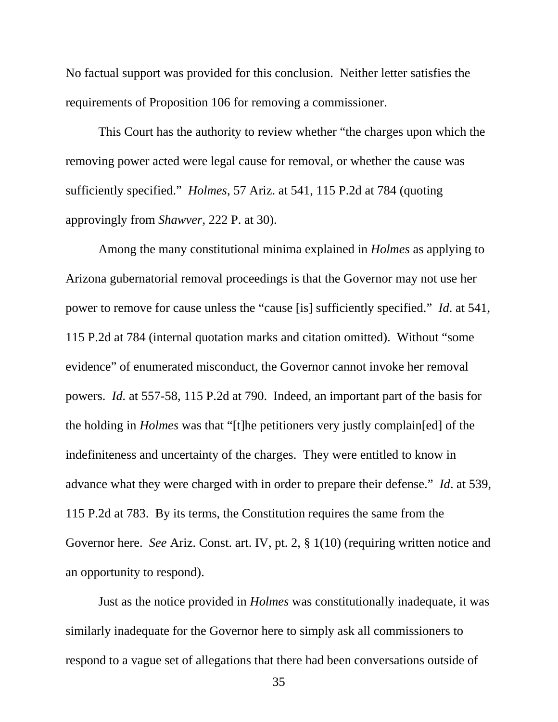No factual support was provided for this conclusion. Neither letter satisfies the requirements of Proposition 106 for removing a commissioner.

This Court has the authority to review whether "the charges upon which the removing power acted were legal cause for removal, or whether the cause was sufficiently specified." *Holmes*, 57 Ariz. at 541, 115 P.2d at 784 (quoting approvingly from *Shawver*, 222 P. at 30).

Among the many constitutional minima explained in *Holmes* as applying to Arizona gubernatorial removal proceedings is that the Governor may not use her power to remove for cause unless the "cause [is] sufficiently specified."*Id*. at 541, 115 P.2d at 784 (internal quotation marks and citation omitted).Without "some evidence" of enumerated misconduct, the Governor cannot invoke her removal powers. *Id.* at 557-58, 115 P.2d at 790. Indeed, an important part of the basis for the holding in *Holmes* was that "[t]he petitioners very justly complain[ed] of the indefiniteness and uncertainty of the charges. They were entitled to know in advance what they were charged with in order to prepare their defense." *Id*. at 539, 115 P.2d at 783. By its terms, the Constitution requires the same from the Governor here. *See* Ariz. Const. art. IV, pt. 2, § 1(10) (requiring written notice and an opportunity to respond).

Just as the notice provided in *Holmes* was constitutionally inadequate, it was similarly inadequate for the Governor here to simply ask all commissioners to respond to a vague set of allegations that there had been conversations outside of

35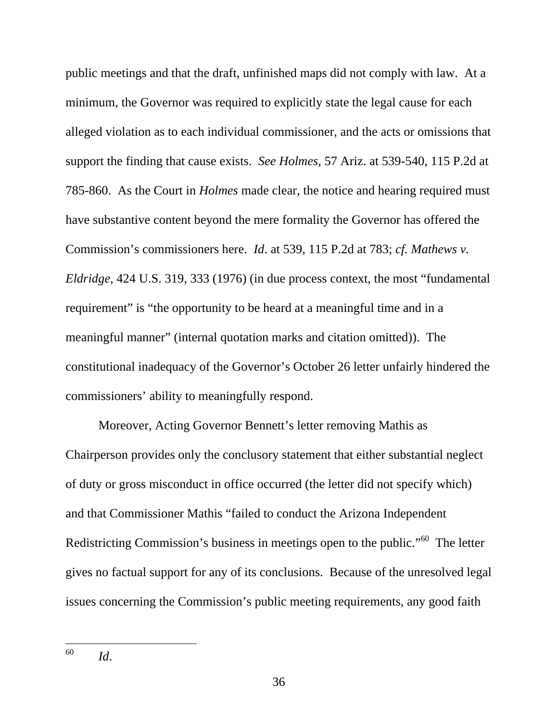public meetings and that the draft, unfinished maps did not comply with law. At a minimum, the Governor was required to explicitly state the legal cause for each alleged violation as to each individual commissioner, and the acts or omissions that support the finding that cause exists. *See Holmes,* 57 Ariz. at 539-540, 115 P.2d at 785-860. As the Court in *Holmes* made clear, the notice and hearing required must have substantive content beyond the mere formality the Governor has offered the Commission's commissioners here. *Id*. at 539, 115 P.2d at 783; *cf. Mathews v. Eldridge*, 424 U.S. 319, 333 (1976) (in due process context, the most "fundamental requirement" is "the opportunity to be heard at a meaningful time and in a meaningful manner" (internal quotation marks and citation omitted)). The constitutional inadequacy of the Governor's October 26 letter unfairly hindered the commissioners' ability to meaningfully respond.

Moreover, Acting Governor Bennett's letter removing Mathis as Chairperson provides only the conclusory statement that either substantial neglect of duty or gross misconduct in office occurred (the letter did not specify which) and that Commissioner Mathis "failed to conduct the Arizona Independent Redistricting Commission's business in meetings open to the public."<sup>60</sup> The letter gives no factual support for any of its conclusions. Because of the unresolved legal issues concerning the Commission's public meeting requirements, any good faith

 $\overline{a}$ 

<sup>60</sup> *Id*.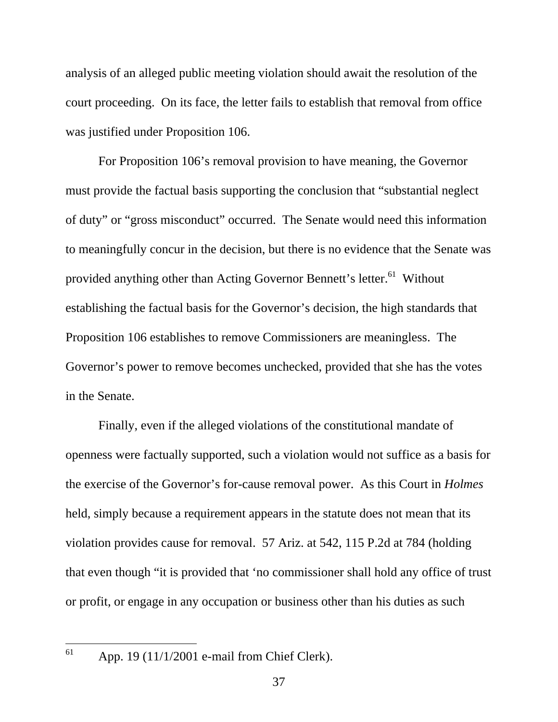analysis of an alleged public meeting violation should await the resolution of the court proceeding. On its face, the letter fails to establish that removal from office was justified under Proposition 106.

For Proposition 106's removal provision to have meaning, the Governor must provide the factual basis supporting the conclusion that "substantial neglect of duty" or "gross misconduct" occurred. The Senate would need this information to meaningfully concur in the decision, but there is no evidence that the Senate was provided anything other than Acting Governor Bennett's letter.<sup>61</sup> Without establishing the factual basis for the Governor's decision, the high standards that Proposition 106 establishes to remove Commissioners are meaningless. The Governor's power to remove becomes unchecked, provided that she has the votes in the Senate.

Finally, even if the alleged violations of the constitutional mandate of openness were factually supported, such a violation would not suffice as a basis for the exercise of the Governor's for-cause removal power. As this Court in *Holmes* held, simply because a requirement appears in the statute does not mean that its violation provides cause for removal. 57 Ariz. at 542, 115 P.2d at 784 (holding that even though "it is provided that 'no commissioner shall hold any office of trust or profit, or engage in any occupation or business other than his duties as such

61

App. 19 (11/1/2001 e-mail from Chief Clerk).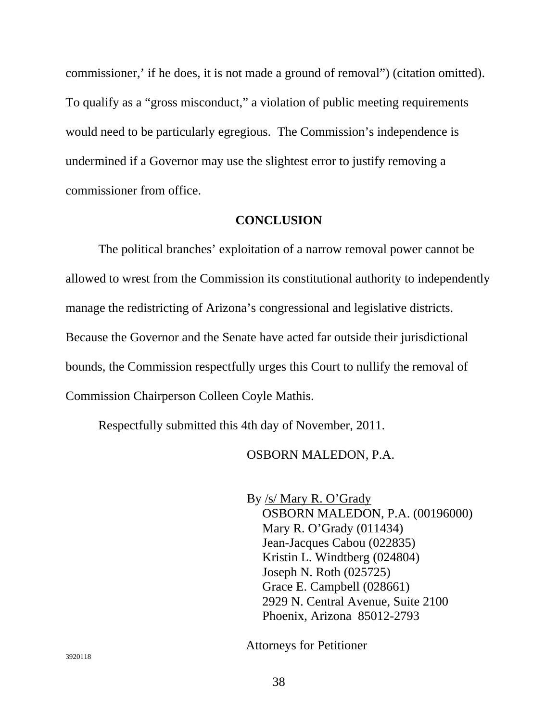commissioner,' if he does, it is not made a ground of removal") (citation omitted). To qualify as a "gross misconduct," a violation of public meeting requirements would need to be particularly egregious. The Commission's independence is undermined if a Governor may use the slightest error to justify removing a commissioner from office.

#### **CONCLUSION**

The political branches' exploitation of a narrow removal power cannot be allowed to wrest from the Commission its constitutional authority to independently manage the redistricting of Arizona's congressional and legislative districts. Because the Governor and the Senate have acted far outside their jurisdictional bounds, the Commission respectfully urges this Court to nullify the removal of Commission Chairperson Colleen Coyle Mathis.

Respectfully submitted this 4th day of November, 2011.

#### OSBORN MALEDON, P.A.

By /s/ Mary R. O'Grady OSBORN MALEDON, P.A. (00196000) Mary R. O'Grady (011434) Jean-Jacques Cabou (022835) Kristin L. Windtberg (024804) Joseph N. Roth (025725) Grace E. Campbell (028661) 2929 N. Central Avenue, Suite 2100 Phoenix, Arizona 85012-2793

Attorneys for Petitioner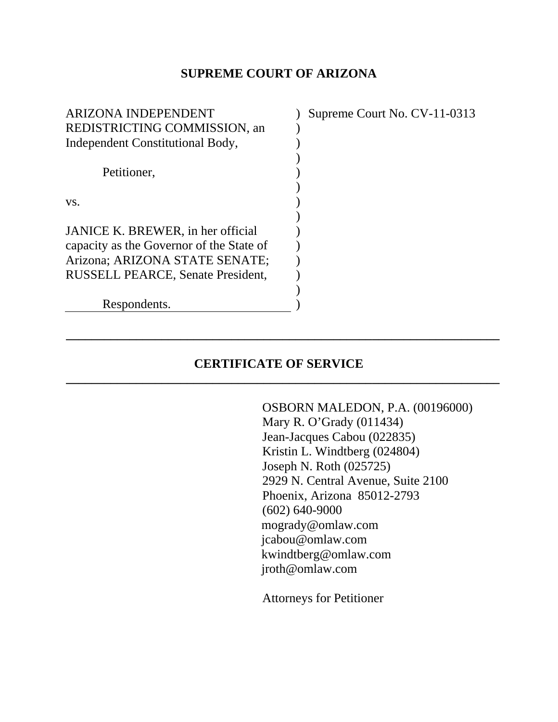#### **SUPREME COURT OF ARIZONA**

| <b>ARIZONA INDEPENDENT</b>               | Supreme Court No. CV-11-0313 |
|------------------------------------------|------------------------------|
| REDISTRICTING COMMISSION, an             |                              |
| Independent Constitutional Body,         |                              |
|                                          |                              |
| Petitioner,                              |                              |
|                                          |                              |
| VS.                                      |                              |
|                                          |                              |
| JANICE K. BREWER, in her official        |                              |
| capacity as the Governor of the State of |                              |
| Arizona; ARIZONA STATE SENATE;           |                              |
| <b>RUSSELL PEARCE, Senate President,</b> |                              |
|                                          |                              |
| Respondents.                             |                              |
|                                          |                              |

# **CERTIFICATE OF SERVICE**

**\_\_\_\_\_\_\_\_\_\_\_\_\_\_\_\_\_\_\_\_\_\_\_\_\_\_\_\_\_\_\_\_\_\_\_\_\_\_\_\_\_\_\_\_\_\_\_\_\_\_\_\_\_\_\_\_\_\_\_\_\_\_\_\_\_\_\_\_** 

**\_\_\_\_\_\_\_\_\_\_\_\_\_\_\_\_\_\_\_\_\_\_\_\_\_\_\_\_\_\_\_\_\_\_\_\_\_\_\_\_\_\_\_\_\_\_\_\_\_\_\_\_\_\_\_\_\_\_\_\_\_\_\_\_\_\_\_\_** 

OSBORN MALEDON, P.A. (00196000) Mary R. O'Grady (011434) Jean-Jacques Cabou (022835) Kristin L. Windtberg (024804) Joseph N. Roth (025725) 2929 N. Central Avenue, Suite 2100 Phoenix, Arizona 85012-2793 (602) 640-9000 mogrady@omlaw.com jcabou@omlaw.com kwindtberg@omlaw.com jroth@omlaw.com

Attorneys for Petitioner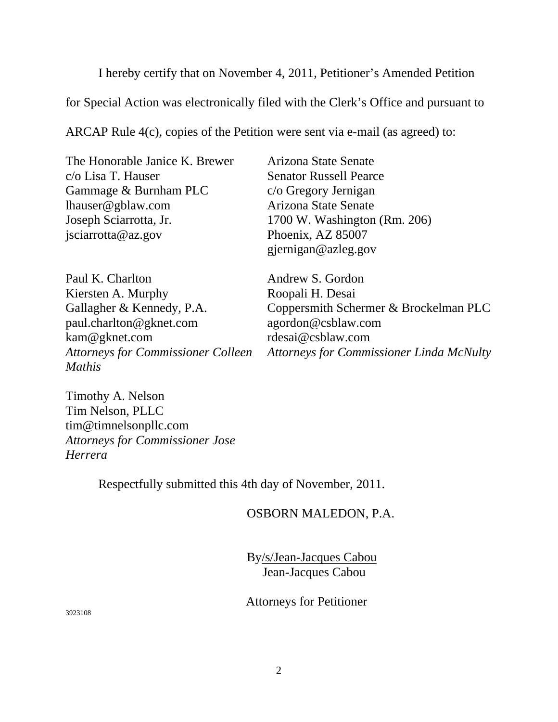I hereby certify that on November 4, 2011, Petitioner's Amended Petition

for Special Action was electronically filed with the Clerk's Office and pursuant to

ARCAP Rule 4(c), copies of the Petition were sent via e-mail (as agreed) to:

| The Honorable Janice K. Brewer |
|--------------------------------|
| $c$ /o Lisa T. Hauser          |
| Gammage & Burnham PLC          |
| lhauser@gblaw.com              |
| Joseph Sciarrotta, Jr.         |
| jsciarrotta@az.gov             |

Arizona State Senate Senator Russell Pearce c/o Gregory Jernigan Arizona State Senate 1700 W. Washington (Rm. 206) Phoenix, AZ 85007 gjernigan@azleg.gov

| Paul K. Charlton                          |
|-------------------------------------------|
| Kiersten A. Murphy                        |
| Gallagher & Kennedy, P.A.                 |
| paul.charlton@gknet.com                   |
| kam@gknet.com                             |
| <b>Attorneys for Commissioner Colleen</b> |
| <b>Mathis</b>                             |

Andrew S. Gordon Roopali H. Desai Coppersmith Schermer & Brockelman PLC agordon@csblaw.com rdesai@csblaw.com *Attorneys for Commissioner Linda McNulty* 

Timothy A. Nelson Tim Nelson, PLLC tim@timnelsonpllc.com *Attorneys for Commissioner Jose Herrera*

Respectfully submitted this 4th day of November, 2011.

OSBORN MALEDON, P.A.

By/s/Jean-Jacques Cabou Jean-Jacques Cabou

Attorneys for Petitioner

3923108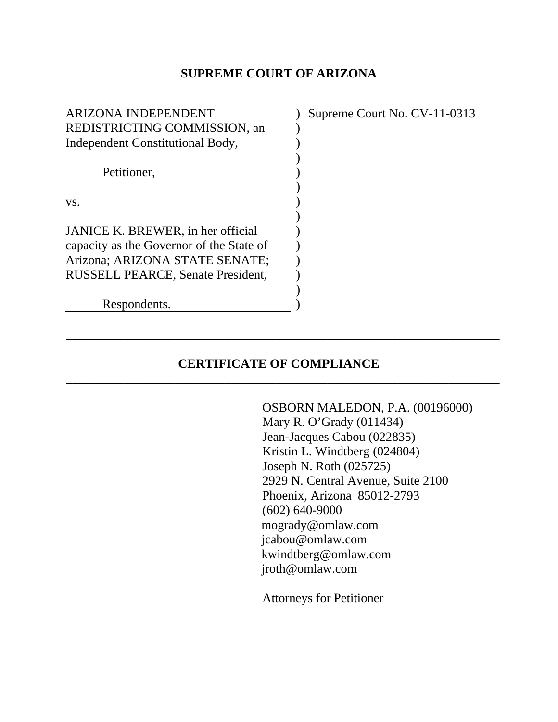#### **SUPREME COURT OF ARIZONA**

| <b>ARIZONA INDEPENDENT</b>               | Supreme Court No. CV-11-0313 |
|------------------------------------------|------------------------------|
| REDISTRICTING COMMISSION, an             |                              |
| Independent Constitutional Body,         |                              |
|                                          |                              |
| Petitioner,                              |                              |
|                                          |                              |
| VS.                                      |                              |
|                                          |                              |
| JANICE K. BREWER, in her official        |                              |
| capacity as the Governor of the State of |                              |
| Arizona; ARIZONA STATE SENATE;           |                              |
| <b>RUSSELL PEARCE, Senate President,</b> |                              |
|                                          |                              |
| Respondents.                             |                              |
|                                          |                              |

# **CERTIFICATE OF COMPLIANCE**

**\_\_\_\_\_\_\_\_\_\_\_\_\_\_\_\_\_\_\_\_\_\_\_\_\_\_\_\_\_\_\_\_\_\_\_\_\_\_\_\_\_\_\_\_\_\_\_\_\_\_\_\_\_\_\_\_\_\_\_\_\_\_\_\_\_\_\_\_** 

**\_\_\_\_\_\_\_\_\_\_\_\_\_\_\_\_\_\_\_\_\_\_\_\_\_\_\_\_\_\_\_\_\_\_\_\_\_\_\_\_\_\_\_\_\_\_\_\_\_\_\_\_\_\_\_\_\_\_\_\_\_\_\_\_\_\_\_\_** 

OSBORN MALEDON, P.A. (00196000) Mary R. O'Grady (011434) Jean-Jacques Cabou (022835) Kristin L. Windtberg (024804) Joseph N. Roth (025725) 2929 N. Central Avenue, Suite 2100 Phoenix, Arizona 85012-2793 (602) 640-9000 mogrady@omlaw.com jcabou@omlaw.com kwindtberg@omlaw.com jroth@omlaw.com

Attorneys for Petitioner